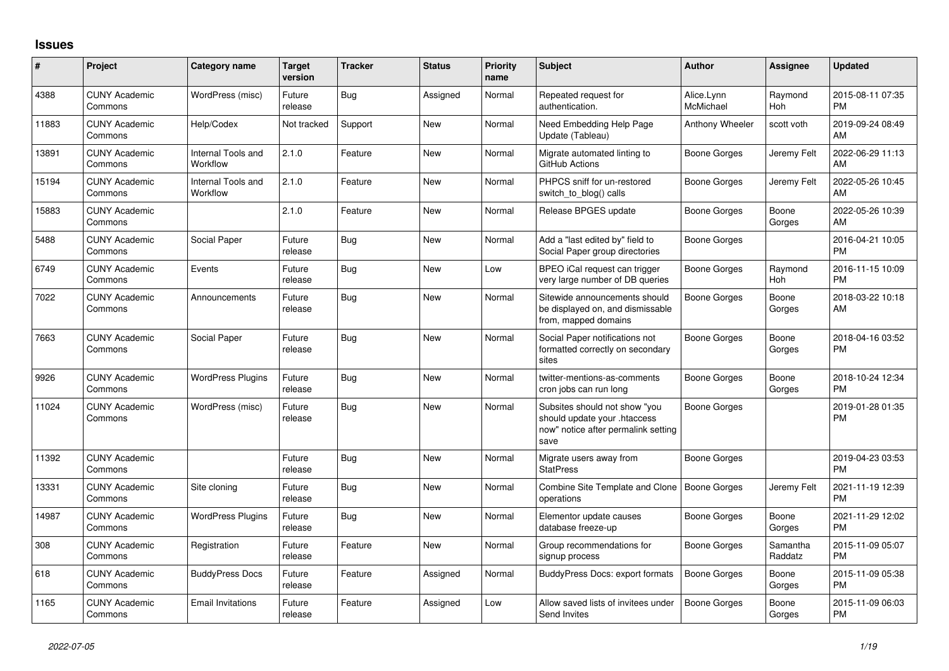## **Issues**

| #     | Project                         | <b>Category name</b>           | <b>Target</b><br>version | <b>Tracker</b> | <b>Status</b> | <b>Priority</b><br>name | <b>Subject</b>                                                                                               | <b>Author</b>           | Assignee            | <b>Updated</b>                |
|-------|---------------------------------|--------------------------------|--------------------------|----------------|---------------|-------------------------|--------------------------------------------------------------------------------------------------------------|-------------------------|---------------------|-------------------------------|
| 4388  | <b>CUNY Academic</b><br>Commons | WordPress (misc)               | Future<br>release        | Bug            | Assigned      | Normal                  | Repeated request for<br>authentication.                                                                      | Alice.Lynn<br>McMichael | Raymond<br>Hoh      | 2015-08-11 07:35<br><b>PM</b> |
| 11883 | <b>CUNY Academic</b><br>Commons | Help/Codex                     | Not tracked              | Support        | New           | Normal                  | Need Embedding Help Page<br>Update (Tableau)                                                                 | Anthony Wheeler         | scott voth          | 2019-09-24 08:49<br>AM        |
| 13891 | <b>CUNY Academic</b><br>Commons | Internal Tools and<br>Workflow | 2.1.0                    | Feature        | <b>New</b>    | Normal                  | Migrate automated linting to<br>GitHub Actions                                                               | Boone Gorges            | Jeremy Felt         | 2022-06-29 11:13<br>AM        |
| 15194 | <b>CUNY Academic</b><br>Commons | Internal Tools and<br>Workflow | 2.1.0                    | Feature        | <b>New</b>    | Normal                  | PHPCS sniff for un-restored<br>switch_to_blog() calls                                                        | Boone Gorges            | Jeremy Felt         | 2022-05-26 10:45<br>AM        |
| 15883 | <b>CUNY Academic</b><br>Commons |                                | 2.1.0                    | Feature        | New           | Normal                  | Release BPGES update                                                                                         | Boone Gorges            | Boone<br>Gorges     | 2022-05-26 10:39<br>AM        |
| 5488  | <b>CUNY Academic</b><br>Commons | Social Paper                   | Future<br>release        | Bug            | <b>New</b>    | Normal                  | Add a "last edited by" field to<br>Social Paper group directories                                            | Boone Gorges            |                     | 2016-04-21 10:05<br><b>PM</b> |
| 6749  | <b>CUNY Academic</b><br>Commons | Events                         | Future<br>release        | Bug            | <b>New</b>    | Low                     | BPEO iCal request can trigger<br>very large number of DB queries                                             | Boone Gorges            | Raymond<br>Hoh      | 2016-11-15 10:09<br><b>PM</b> |
| 7022  | <b>CUNY Academic</b><br>Commons | Announcements                  | Future<br>release        | Bug            | New           | Normal                  | Sitewide announcements should<br>be displayed on, and dismissable<br>from, mapped domains                    | Boone Gorges            | Boone<br>Gorges     | 2018-03-22 10:18<br>AM        |
| 7663  | <b>CUNY Academic</b><br>Commons | Social Paper                   | Future<br>release        | Bug            | <b>New</b>    | Normal                  | Social Paper notifications not<br>formatted correctly on secondary<br>sites                                  | <b>Boone Gorges</b>     | Boone<br>Gorges     | 2018-04-16 03:52<br><b>PM</b> |
| 9926  | <b>CUNY Academic</b><br>Commons | <b>WordPress Plugins</b>       | Future<br>release        | Bug            | <b>New</b>    | Normal                  | twitter-mentions-as-comments<br>cron jobs can run long                                                       | Boone Gorges            | Boone<br>Gorges     | 2018-10-24 12:34<br><b>PM</b> |
| 11024 | <b>CUNY Academic</b><br>Commons | WordPress (misc)               | Future<br>release        | Bug            | <b>New</b>    | Normal                  | Subsites should not show "you<br>should update your .htaccess<br>now" notice after permalink setting<br>save | Boone Gorges            |                     | 2019-01-28 01:35<br><b>PM</b> |
| 11392 | <b>CUNY Academic</b><br>Commons |                                | Future<br>release        | Bug            | <b>New</b>    | Normal                  | Migrate users away from<br><b>StatPress</b>                                                                  | Boone Gorges            |                     | 2019-04-23 03:53<br><b>PM</b> |
| 13331 | <b>CUNY Academic</b><br>Commons | Site cloning                   | Future<br>release        | Bug            | <b>New</b>    | Normal                  | <b>Combine Site Template and Clone</b><br>operations                                                         | Boone Gorges            | Jeremy Felt         | 2021-11-19 12:39<br><b>PM</b> |
| 14987 | <b>CUNY Academic</b><br>Commons | <b>WordPress Plugins</b>       | Future<br>release        | <b>Bug</b>     | New           | Normal                  | Elementor update causes<br>database freeze-up                                                                | Boone Gorges            | Boone<br>Gorges     | 2021-11-29 12:02<br><b>PM</b> |
| 308   | <b>CUNY Academic</b><br>Commons | Registration                   | Future<br>release        | Feature        | New           | Normal                  | Group recommendations for<br>signup process                                                                  | Boone Gorges            | Samantha<br>Raddatz | 2015-11-09 05:07<br><b>PM</b> |
| 618   | <b>CUNY Academic</b><br>Commons | <b>BuddyPress Docs</b>         | Future<br>release        | Feature        | Assigned      | Normal                  | <b>BuddyPress Docs: export formats</b>                                                                       | Boone Gorges            | Boone<br>Gorges     | 2015-11-09 05:38<br><b>PM</b> |
| 1165  | <b>CUNY Academic</b><br>Commons | <b>Email Invitations</b>       | Future<br>release        | Feature        | Assigned      | Low                     | Allow saved lists of invitees under<br>Send Invites                                                          | Boone Gorges            | Boone<br>Gorges     | 2015-11-09 06:03<br><b>PM</b> |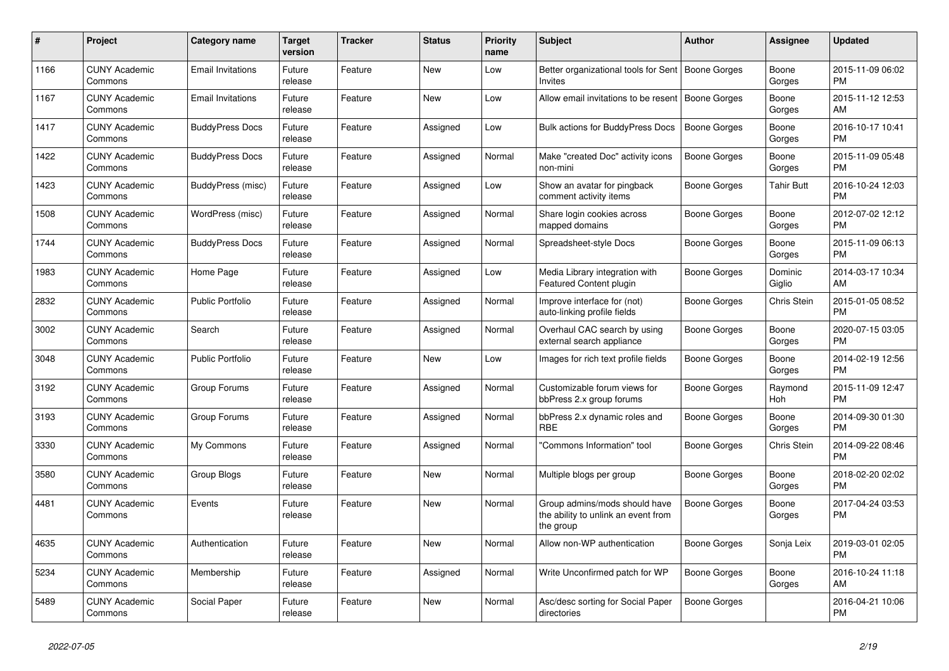| $\#$ | Project                         | Category name            | <b>Target</b><br>version | <b>Tracker</b> | <b>Status</b> | <b>Priority</b><br>name | <b>Subject</b>                                                                    | <b>Author</b>       | Assignee          | <b>Updated</b>                |
|------|---------------------------------|--------------------------|--------------------------|----------------|---------------|-------------------------|-----------------------------------------------------------------------------------|---------------------|-------------------|-------------------------------|
| 1166 | <b>CUNY Academic</b><br>Commons | <b>Email Invitations</b> | Future<br>release        | Feature        | New           | Low                     | Better organizational tools for Sent<br><b>Invites</b>                            | Boone Gorges        | Boone<br>Gorges   | 2015-11-09 06:02<br><b>PM</b> |
| 1167 | <b>CUNY Academic</b><br>Commons | <b>Email Invitations</b> | Future<br>release        | Feature        | <b>New</b>    | Low                     | Allow email invitations to be resent   Boone Gorges                               |                     | Boone<br>Gorges   | 2015-11-12 12:53<br>AM        |
| 1417 | <b>CUNY Academic</b><br>Commons | <b>BuddyPress Docs</b>   | Future<br>release        | Feature        | Assigned      | Low                     | <b>Bulk actions for BuddyPress Docs</b>                                           | Boone Gorges        | Boone<br>Gorges   | 2016-10-17 10:41<br><b>PM</b> |
| 1422 | <b>CUNY Academic</b><br>Commons | <b>BuddyPress Docs</b>   | Future<br>release        | Feature        | Assigned      | Normal                  | Make "created Doc" activity icons<br>non-mini                                     | Boone Gorges        | Boone<br>Gorges   | 2015-11-09 05:48<br><b>PM</b> |
| 1423 | <b>CUNY Academic</b><br>Commons | BuddyPress (misc)        | Future<br>release        | Feature        | Assigned      | Low                     | Show an avatar for pingback<br>comment activity items                             | Boone Gorges        | Tahir Butt        | 2016-10-24 12:03<br><b>PM</b> |
| 1508 | <b>CUNY Academic</b><br>Commons | WordPress (misc)         | Future<br>release        | Feature        | Assigned      | Normal                  | Share login cookies across<br>mapped domains                                      | Boone Gorges        | Boone<br>Gorges   | 2012-07-02 12:12<br><b>PM</b> |
| 1744 | <b>CUNY Academic</b><br>Commons | <b>BuddyPress Docs</b>   | Future<br>release        | Feature        | Assigned      | Normal                  | Spreadsheet-style Docs                                                            | Boone Gorges        | Boone<br>Gorges   | 2015-11-09 06:13<br><b>PM</b> |
| 1983 | <b>CUNY Academic</b><br>Commons | Home Page                | Future<br>release        | Feature        | Assigned      | Low                     | Media Library integration with<br>Featured Content plugin                         | Boone Gorges        | Dominic<br>Giglio | 2014-03-17 10:34<br>AM        |
| 2832 | <b>CUNY Academic</b><br>Commons | <b>Public Portfolio</b>  | Future<br>release        | Feature        | Assigned      | Normal                  | Improve interface for (not)<br>auto-linking profile fields                        | Boone Gorges        | Chris Stein       | 2015-01-05 08:52<br><b>PM</b> |
| 3002 | <b>CUNY Academic</b><br>Commons | Search                   | Future<br>release        | Feature        | Assigned      | Normal                  | Overhaul CAC search by using<br>external search appliance                         | <b>Boone Gorges</b> | Boone<br>Gorges   | 2020-07-15 03:05<br><b>PM</b> |
| 3048 | <b>CUNY Academic</b><br>Commons | <b>Public Portfolio</b>  | Future<br>release        | Feature        | New           | Low                     | Images for rich text profile fields                                               | <b>Boone Gorges</b> | Boone<br>Gorges   | 2014-02-19 12:56<br><b>PM</b> |
| 3192 | <b>CUNY Academic</b><br>Commons | Group Forums             | Future<br>release        | Feature        | Assigned      | Normal                  | Customizable forum views for<br>bbPress 2.x group forums                          | Boone Gorges        | Raymond<br>Hoh    | 2015-11-09 12:47<br><b>PM</b> |
| 3193 | <b>CUNY Academic</b><br>Commons | Group Forums             | Future<br>release        | Feature        | Assigned      | Normal                  | bbPress 2.x dynamic roles and<br><b>RBE</b>                                       | Boone Gorges        | Boone<br>Gorges   | 2014-09-30 01:30<br><b>PM</b> |
| 3330 | <b>CUNY Academic</b><br>Commons | My Commons               | Future<br>release        | Feature        | Assigned      | Normal                  | "Commons Information" tool                                                        | Boone Gorges        | Chris Stein       | 2014-09-22 08:46<br><b>PM</b> |
| 3580 | <b>CUNY Academic</b><br>Commons | Group Blogs              | Future<br>release        | Feature        | <b>New</b>    | Normal                  | Multiple blogs per group                                                          | Boone Gorges        | Boone<br>Gorges   | 2018-02-20 02:02<br><b>PM</b> |
| 4481 | <b>CUNY Academic</b><br>Commons | Events                   | Future<br>release        | Feature        | New           | Normal                  | Group admins/mods should have<br>the ability to unlink an event from<br>the group | <b>Boone Gorges</b> | Boone<br>Gorges   | 2017-04-24 03:53<br><b>PM</b> |
| 4635 | <b>CUNY Academic</b><br>Commons | Authentication           | Future<br>release        | Feature        | New           | Normal                  | Allow non-WP authentication                                                       | Boone Gorges        | Sonja Leix        | 2019-03-01 02:05<br><b>PM</b> |
| 5234 | <b>CUNY Academic</b><br>Commons | Membership               | Future<br>release        | Feature        | Assigned      | Normal                  | Write Unconfirmed patch for WP                                                    | Boone Gorges        | Boone<br>Gorges   | 2016-10-24 11:18<br>AM        |
| 5489 | <b>CUNY Academic</b><br>Commons | Social Paper             | Future<br>release        | Feature        | <b>New</b>    | Normal                  | Asc/desc sorting for Social Paper<br>directories                                  | Boone Gorges        |                   | 2016-04-21 10:06<br><b>PM</b> |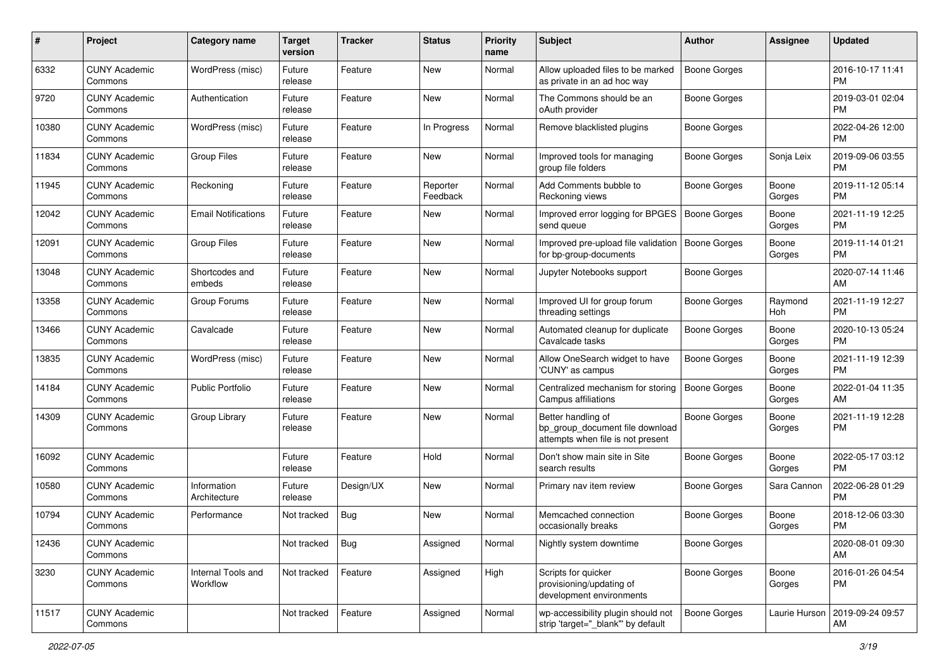| #     | Project                         | <b>Category name</b>           | <b>Target</b><br>version | <b>Tracker</b> | <b>Status</b>        | <b>Priority</b><br>name | <b>Subject</b>                                                                             | <b>Author</b>       | <b>Assignee</b> | <b>Updated</b>                |
|-------|---------------------------------|--------------------------------|--------------------------|----------------|----------------------|-------------------------|--------------------------------------------------------------------------------------------|---------------------|-----------------|-------------------------------|
| 6332  | <b>CUNY Academic</b><br>Commons | WordPress (misc)               | Future<br>release        | Feature        | New                  | Normal                  | Allow uploaded files to be marked<br>as private in an ad hoc way                           | <b>Boone Gorges</b> |                 | 2016-10-17 11:41<br><b>PM</b> |
| 9720  | <b>CUNY Academic</b><br>Commons | Authentication                 | Future<br>release        | Feature        | New                  | Normal                  | The Commons should be an<br>oAuth provider                                                 | Boone Gorges        |                 | 2019-03-01 02:04<br><b>PM</b> |
| 10380 | <b>CUNY Academic</b><br>Commons | WordPress (misc)               | Future<br>release        | Feature        | In Progress          | Normal                  | Remove blacklisted plugins                                                                 | Boone Gorges        |                 | 2022-04-26 12:00<br><b>PM</b> |
| 11834 | <b>CUNY Academic</b><br>Commons | <b>Group Files</b>             | Future<br>release        | Feature        | New                  | Normal                  | Improved tools for managing<br>group file folders                                          | Boone Gorges        | Sonja Leix      | 2019-09-06 03:55<br><b>PM</b> |
| 11945 | <b>CUNY Academic</b><br>Commons | Reckoning                      | Future<br>release        | Feature        | Reporter<br>Feedback | Normal                  | Add Comments bubble to<br>Reckoning views                                                  | Boone Gorges        | Boone<br>Gorges | 2019-11-12 05:14<br><b>PM</b> |
| 12042 | <b>CUNY Academic</b><br>Commons | <b>Email Notifications</b>     | Future<br>release        | Feature        | New                  | Normal                  | Improved error logging for BPGES<br>send queue                                             | Boone Gorges        | Boone<br>Gorges | 2021-11-19 12:25<br><b>PM</b> |
| 12091 | <b>CUNY Academic</b><br>Commons | <b>Group Files</b>             | Future<br>release        | Feature        | New                  | Normal                  | Improved pre-upload file validation<br>for bp-group-documents                              | <b>Boone Gorges</b> | Boone<br>Gorges | 2019-11-14 01:21<br><b>PM</b> |
| 13048 | <b>CUNY Academic</b><br>Commons | Shortcodes and<br>embeds       | Future<br>release        | Feature        | New                  | Normal                  | Jupyter Notebooks support                                                                  | Boone Gorges        |                 | 2020-07-14 11:46<br>AM        |
| 13358 | <b>CUNY Academic</b><br>Commons | Group Forums                   | Future<br>release        | Feature        | New                  | Normal                  | Improved UI for group forum<br>threading settings                                          | <b>Boone Gorges</b> | Raymond<br>Hoh  | 2021-11-19 12:27<br><b>PM</b> |
| 13466 | <b>CUNY Academic</b><br>Commons | Cavalcade                      | Future<br>release        | Feature        | New                  | Normal                  | Automated cleanup for duplicate<br>Cavalcade tasks                                         | <b>Boone Gorges</b> | Boone<br>Gorges | 2020-10-13 05:24<br><b>PM</b> |
| 13835 | <b>CUNY Academic</b><br>Commons | WordPress (misc)               | Future<br>release        | Feature        | New                  | Normal                  | Allow OneSearch widget to have<br>'CUNY' as campus                                         | Boone Gorges        | Boone<br>Gorges | 2021-11-19 12:39<br><b>PM</b> |
| 14184 | <b>CUNY Academic</b><br>Commons | <b>Public Portfolio</b>        | Future<br>release        | Feature        | New                  | Normal                  | Centralized mechanism for storing<br>Campus affiliations                                   | Boone Gorges        | Boone<br>Gorges | 2022-01-04 11:35<br>AM        |
| 14309 | <b>CUNY Academic</b><br>Commons | Group Library                  | Future<br>release        | Feature        | New                  | Normal                  | Better handling of<br>bp_group_document file download<br>attempts when file is not present | <b>Boone Gorges</b> | Boone<br>Gorges | 2021-11-19 12:28<br><b>PM</b> |
| 16092 | <b>CUNY Academic</b><br>Commons |                                | Future<br>release        | Feature        | Hold                 | Normal                  | Don't show main site in Site<br>search results                                             | Boone Gorges        | Boone<br>Gorges | 2022-05-17 03:12<br><b>PM</b> |
| 10580 | <b>CUNY Academic</b><br>Commons | Information<br>Architecture    | Future<br>release        | Design/UX      | New                  | Normal                  | Primary nav item review                                                                    | Boone Gorges        | Sara Cannon     | 2022-06-28 01:29<br><b>PM</b> |
| 10794 | <b>CUNY Academic</b><br>Commons | Performance                    | Not tracked              | Bug            | New                  | Normal                  | Memcached connection<br>occasionally breaks                                                | <b>Boone Gorges</b> | Boone<br>Gorges | 2018-12-06 03:30<br><b>PM</b> |
| 12436 | <b>CUNY Academic</b><br>Commons |                                | Not tracked              | Bug            | Assigned             | Normal                  | Nightly system downtime                                                                    | Boone Gorges        |                 | 2020-08-01 09:30<br>AM        |
| 3230  | <b>CUNY Academic</b><br>Commons | Internal Tools and<br>Workflow | Not tracked              | Feature        | Assigned             | High                    | Scripts for quicker<br>provisioning/updating of<br>development environments                | Boone Gorges        | Boone<br>Gorges | 2016-01-26 04:54<br>PM        |
| 11517 | <b>CUNY Academic</b><br>Commons |                                | Not tracked              | Feature        | Assigned             | Normal                  | wp-accessibility plugin should not<br>strip 'target="_blank"' by default                   | <b>Boone Gorges</b> | Laurie Hurson   | 2019-09-24 09:57<br>AM        |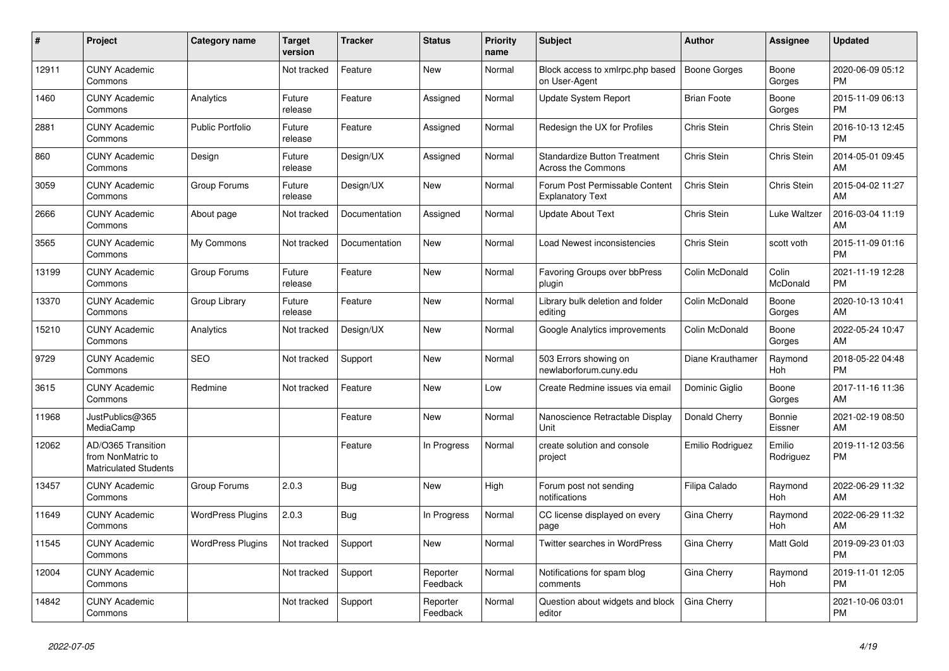| #     | Project                                                          | <b>Category name</b>     | <b>Target</b><br>version | <b>Tracker</b> | <b>Status</b>        | <b>Priority</b><br>name | <b>Subject</b>                                                   | <b>Author</b>       | Assignee            | <b>Updated</b>                |
|-------|------------------------------------------------------------------|--------------------------|--------------------------|----------------|----------------------|-------------------------|------------------------------------------------------------------|---------------------|---------------------|-------------------------------|
| 12911 | <b>CUNY Academic</b><br>Commons                                  |                          | Not tracked              | Feature        | <b>New</b>           | Normal                  | Block access to xmlrpc.php based<br>on User-Agent                | <b>Boone Gorges</b> | Boone<br>Gorges     | 2020-06-09 05:12<br><b>PM</b> |
| 1460  | <b>CUNY Academic</b><br>Commons                                  | Analytics                | Future<br>release        | Feature        | Assigned             | Normal                  | <b>Update System Report</b>                                      | <b>Brian Foote</b>  | Boone<br>Gorges     | 2015-11-09 06:13<br><b>PM</b> |
| 2881  | <b>CUNY Academic</b><br>Commons                                  | <b>Public Portfolio</b>  | Future<br>release        | Feature        | Assigned             | Normal                  | Redesign the UX for Profiles                                     | Chris Stein         | Chris Stein         | 2016-10-13 12:45<br><b>PM</b> |
| 860   | <b>CUNY Academic</b><br>Commons                                  | Design                   | Future<br>release        | Design/UX      | Assigned             | Normal                  | <b>Standardize Button Treatment</b><br><b>Across the Commons</b> | Chris Stein         | Chris Stein         | 2014-05-01 09:45<br>AM        |
| 3059  | <b>CUNY Academic</b><br>Commons                                  | Group Forums             | Future<br>release        | Design/UX      | New                  | Normal                  | Forum Post Permissable Content<br><b>Explanatory Text</b>        | Chris Stein         | Chris Stein         | 2015-04-02 11:27<br>AM        |
| 2666  | <b>CUNY Academic</b><br>Commons                                  | About page               | Not tracked              | Documentation  | Assigned             | Normal                  | <b>Update About Text</b>                                         | Chris Stein         | Luke Waltzer        | 2016-03-04 11:19<br>AM        |
| 3565  | <b>CUNY Academic</b><br>Commons                                  | My Commons               | Not tracked              | Documentation  | <b>New</b>           | Normal                  | Load Newest inconsistencies                                      | Chris Stein         | scott voth          | 2015-11-09 01:16<br><b>PM</b> |
| 13199 | <b>CUNY Academic</b><br>Commons                                  | Group Forums             | Future<br>release        | Feature        | <b>New</b>           | Normal                  | Favoring Groups over bbPress<br>plugin                           | Colin McDonald      | Colin<br>McDonald   | 2021-11-19 12:28<br><b>PM</b> |
| 13370 | <b>CUNY Academic</b><br>Commons                                  | Group Library            | Future<br>release        | Feature        | <b>New</b>           | Normal                  | Library bulk deletion and folder<br>editing                      | Colin McDonald      | Boone<br>Gorges     | 2020-10-13 10:41<br>AM        |
| 15210 | <b>CUNY Academic</b><br>Commons                                  | Analytics                | Not tracked              | Design/UX      | New                  | Normal                  | Google Analytics improvements                                    | Colin McDonald      | Boone<br>Gorges     | 2022-05-24 10:47<br>AM        |
| 9729  | <b>CUNY Academic</b><br>Commons                                  | <b>SEO</b>               | Not tracked              | Support        | <b>New</b>           | Normal                  | 503 Errors showing on<br>newlaborforum.cuny.edu                  | Diane Krauthamer    | Raymond<br>Hoh      | 2018-05-22 04:48<br><b>PM</b> |
| 3615  | <b>CUNY Academic</b><br>Commons                                  | Redmine                  | Not tracked              | Feature        | New                  | Low                     | Create Redmine issues via email                                  | Dominic Giglio      | Boone<br>Gorges     | 2017-11-16 11:36<br>AM        |
| 11968 | JustPublics@365<br>MediaCamp                                     |                          |                          | Feature        | New                  | Normal                  | Nanoscience Retractable Display<br>Unit                          | Donald Cherry       | Bonnie<br>Eissner   | 2021-02-19 08:50<br>AM        |
| 12062 | AD/O365 Transition<br>from NonMatric to<br>Matriculated Students |                          |                          | Feature        | In Progress          | Normal                  | create solution and console<br>project                           | Emilio Rodriguez    | Emilio<br>Rodriguez | 2019-11-12 03:56<br><b>PM</b> |
| 13457 | <b>CUNY Academic</b><br>Commons                                  | Group Forums             | 2.0.3                    | <b>Bug</b>     | <b>New</b>           | High                    | Forum post not sending<br>notifications                          | Filipa Calado       | Raymond<br>Hoh      | 2022-06-29 11:32<br>AM        |
| 11649 | <b>CUNY Academic</b><br>Commons                                  | <b>WordPress Plugins</b> | 2.0.3                    | Bug            | In Progress          | Normal                  | CC license displayed on every<br>page                            | Gina Cherry         | Raymond<br>Hoh      | 2022-06-29 11:32<br>AM        |
| 11545 | <b>CUNY Academic</b><br>Commons                                  | <b>WordPress Plugins</b> | Not tracked              | Support        | <b>New</b>           | Normal                  | Twitter searches in WordPress                                    | Gina Cherry         | Matt Gold           | 2019-09-23 01:03<br><b>PM</b> |
| 12004 | <b>CUNY Academic</b><br>Commons                                  |                          | Not tracked              | Support        | Reporter<br>Feedback | Normal                  | Notifications for spam blog<br>comments                          | Gina Cherry         | Raymond<br>Hoh      | 2019-11-01 12:05<br><b>PM</b> |
| 14842 | <b>CUNY Academic</b><br>Commons                                  |                          | Not tracked              | Support        | Reporter<br>Feedback | Normal                  | Question about widgets and block<br>editor                       | Gina Cherry         |                     | 2021-10-06 03:01<br><b>PM</b> |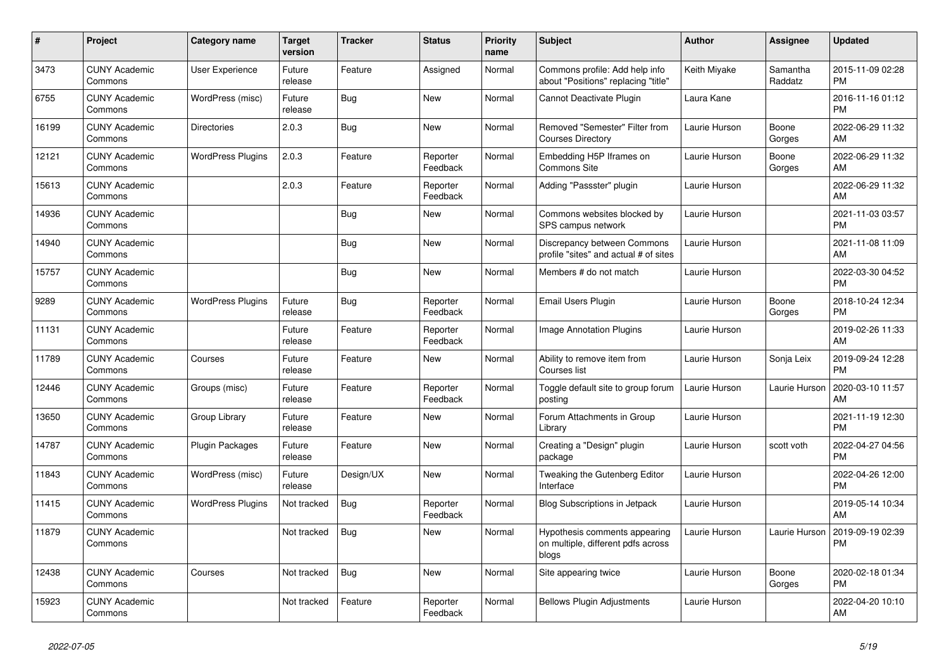| #     | <b>Project</b>                  | <b>Category name</b>     | <b>Target</b><br>version | <b>Tracker</b> | <b>Status</b>        | <b>Priority</b><br>name | <b>Subject</b>                                                               | <b>Author</b> | Assignee            | <b>Updated</b>                |
|-------|---------------------------------|--------------------------|--------------------------|----------------|----------------------|-------------------------|------------------------------------------------------------------------------|---------------|---------------------|-------------------------------|
| 3473  | <b>CUNY Academic</b><br>Commons | <b>User Experience</b>   | Future<br>release        | Feature        | Assigned             | Normal                  | Commons profile: Add help info<br>about "Positions" replacing "title"        | Keith Miyake  | Samantha<br>Raddatz | 2015-11-09 02:28<br><b>PM</b> |
| 6755  | <b>CUNY Academic</b><br>Commons | WordPress (misc)         | Future<br>release        | Bug            | New                  | Normal                  | Cannot Deactivate Plugin                                                     | Laura Kane    |                     | 2016-11-16 01:12<br><b>PM</b> |
| 16199 | <b>CUNY Academic</b><br>Commons | <b>Directories</b>       | 2.0.3                    | Bug            | <b>New</b>           | Normal                  | Removed "Semester" Filter from<br><b>Courses Directory</b>                   | Laurie Hurson | Boone<br>Gorges     | 2022-06-29 11:32<br>AM        |
| 12121 | <b>CUNY Academic</b><br>Commons | <b>WordPress Plugins</b> | 2.0.3                    | Feature        | Reporter<br>Feedback | Normal                  | Embedding H5P Iframes on<br><b>Commons Site</b>                              | Laurie Hurson | Boone<br>Gorges     | 2022-06-29 11:32<br>AM        |
| 15613 | <b>CUNY Academic</b><br>Commons |                          | 2.0.3                    | Feature        | Reporter<br>Feedback | Normal                  | Adding "Passster" plugin                                                     | Laurie Hurson |                     | 2022-06-29 11:32<br>AM        |
| 14936 | <b>CUNY Academic</b><br>Commons |                          |                          | Bug            | New                  | Normal                  | Commons websites blocked by<br>SPS campus network                            | Laurie Hurson |                     | 2021-11-03 03:57<br><b>PM</b> |
| 14940 | <b>CUNY Academic</b><br>Commons |                          |                          | <b>Bug</b>     | <b>New</b>           | Normal                  | Discrepancy between Commons<br>profile "sites" and actual # of sites         | Laurie Hurson |                     | 2021-11-08 11:09<br>AM        |
| 15757 | <b>CUNY Academic</b><br>Commons |                          |                          | Bug            | <b>New</b>           | Normal                  | Members # do not match                                                       | Laurie Hurson |                     | 2022-03-30 04:52<br><b>PM</b> |
| 9289  | <b>CUNY Academic</b><br>Commons | <b>WordPress Plugins</b> | Future<br>release        | Bug            | Reporter<br>Feedback | Normal                  | Email Users Plugin                                                           | Laurie Hurson | Boone<br>Gorges     | 2018-10-24 12:34<br><b>PM</b> |
| 11131 | <b>CUNY Academic</b><br>Commons |                          | Future<br>release        | Feature        | Reporter<br>Feedback | Normal                  | Image Annotation Plugins                                                     | Laurie Hurson |                     | 2019-02-26 11:33<br>AM        |
| 11789 | <b>CUNY Academic</b><br>Commons | Courses                  | Future<br>release        | Feature        | <b>New</b>           | Normal                  | Ability to remove item from<br>Courses list                                  | Laurie Hurson | Sonja Leix          | 2019-09-24 12:28<br><b>PM</b> |
| 12446 | <b>CUNY Academic</b><br>Commons | Groups (misc)            | Future<br>release        | Feature        | Reporter<br>Feedback | Normal                  | Toggle default site to group forum<br>posting                                | Laurie Hurson | Laurie Hurson       | 2020-03-10 11:57<br>AM        |
| 13650 | <b>CUNY Academic</b><br>Commons | Group Library            | Future<br>release        | Feature        | New                  | Normal                  | Forum Attachments in Group<br>Library                                        | Laurie Hurson |                     | 2021-11-19 12:30<br><b>PM</b> |
| 14787 | <b>CUNY Academic</b><br>Commons | Plugin Packages          | Future<br>release        | Feature        | <b>New</b>           | Normal                  | Creating a "Design" plugin<br>package                                        | Laurie Hurson | scott voth          | 2022-04-27 04:56<br><b>PM</b> |
| 11843 | <b>CUNY Academic</b><br>Commons | WordPress (misc)         | Future<br>release        | Design/UX      | <b>New</b>           | Normal                  | Tweaking the Gutenberg Editor<br>Interface                                   | Laurie Hurson |                     | 2022-04-26 12:00<br><b>PM</b> |
| 11415 | <b>CUNY Academic</b><br>Commons | <b>WordPress Plugins</b> | Not tracked              | Bug            | Reporter<br>Feedback | Normal                  | <b>Blog Subscriptions in Jetpack</b>                                         | Laurie Hurson |                     | 2019-05-14 10:34<br>AM        |
| 11879 | <b>CUNY Academic</b><br>Commons |                          | Not tracked              | Bug            | <b>New</b>           | Normal                  | Hypothesis comments appearing<br>on multiple, different pdfs across<br>blogs | Laurie Hurson | Laurie Hurson       | 2019-09-19 02:39<br><b>PM</b> |
| 12438 | <b>CUNY Academic</b><br>Commons | Courses                  | Not tracked              | Bug            | New                  | Normal                  | Site appearing twice                                                         | Laurie Hurson | Boone<br>Gorges     | 2020-02-18 01:34<br><b>PM</b> |
| 15923 | <b>CUNY Academic</b><br>Commons |                          | Not tracked              | Feature        | Reporter<br>Feedback | Normal                  | <b>Bellows Plugin Adjustments</b>                                            | Laurie Hurson |                     | 2022-04-20 10:10<br>AM        |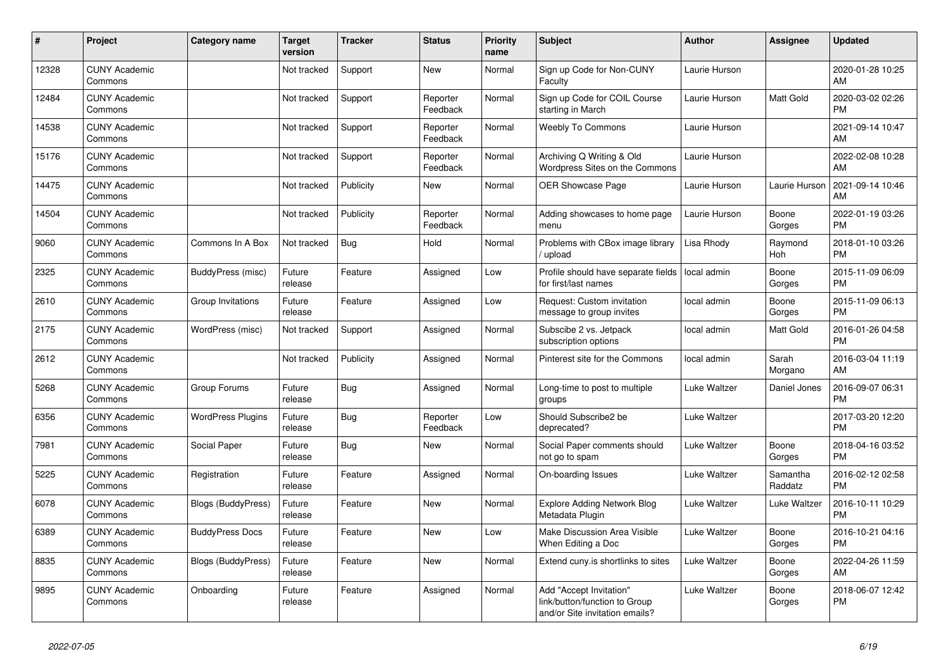| #     | <b>Project</b>                  | Category name             | <b>Target</b><br>version | <b>Tracker</b> | <b>Status</b>        | <b>Priority</b><br>name | <b>Subject</b>                                                                             | <b>Author</b> | Assignee            | <b>Updated</b>                |
|-------|---------------------------------|---------------------------|--------------------------|----------------|----------------------|-------------------------|--------------------------------------------------------------------------------------------|---------------|---------------------|-------------------------------|
| 12328 | <b>CUNY Academic</b><br>Commons |                           | Not tracked              | Support        | New                  | Normal                  | Sign up Code for Non-CUNY<br>Faculty                                                       | Laurie Hurson |                     | 2020-01-28 10:25<br>AM        |
| 12484 | <b>CUNY Academic</b><br>Commons |                           | Not tracked              | Support        | Reporter<br>Feedback | Normal                  | Sign up Code for COIL Course<br>starting in March                                          | Laurie Hurson | Matt Gold           | 2020-03-02 02:26<br><b>PM</b> |
| 14538 | <b>CUNY Academic</b><br>Commons |                           | Not tracked              | Support        | Reporter<br>Feedback | Normal                  | <b>Weebly To Commons</b>                                                                   | Laurie Hurson |                     | 2021-09-14 10:47<br>AM        |
| 15176 | <b>CUNY Academic</b><br>Commons |                           | Not tracked              | Support        | Reporter<br>Feedback | Normal                  | Archiving Q Writing & Old<br>Wordpress Sites on the Commons                                | Laurie Hurson |                     | 2022-02-08 10:28<br>AM        |
| 14475 | <b>CUNY Academic</b><br>Commons |                           | Not tracked              | Publicity      | <b>New</b>           | Normal                  | <b>OER Showcase Page</b>                                                                   | Laurie Hurson | Laurie Hurson       | 2021-09-14 10:46<br>AM        |
| 14504 | <b>CUNY Academic</b><br>Commons |                           | Not tracked              | Publicity      | Reporter<br>Feedback | Normal                  | Adding showcases to home page<br>menu                                                      | Laurie Hurson | Boone<br>Gorges     | 2022-01-19 03:26<br><b>PM</b> |
| 9060  | <b>CUNY Academic</b><br>Commons | Commons In A Box          | Not tracked              | Bug            | Hold                 | Normal                  | Problems with CBox image library<br>/ upload                                               | Lisa Rhody    | Raymond<br>Hoh      | 2018-01-10 03:26<br><b>PM</b> |
| 2325  | <b>CUNY Academic</b><br>Commons | BuddyPress (misc)         | Future<br>release        | Feature        | Assigned             | Low                     | Profile should have separate fields<br>for first/last names                                | local admin   | Boone<br>Gorges     | 2015-11-09 06:09<br><b>PM</b> |
| 2610  | <b>CUNY Academic</b><br>Commons | Group Invitations         | Future<br>release        | Feature        | Assigned             | Low                     | Request: Custom invitation<br>message to group invites                                     | local admin   | Boone<br>Gorges     | 2015-11-09 06:13<br><b>PM</b> |
| 2175  | <b>CUNY Academic</b><br>Commons | WordPress (misc)          | Not tracked              | Support        | Assigned             | Normal                  | Subscibe 2 vs. Jetpack<br>subscription options                                             | local admin   | Matt Gold           | 2016-01-26 04:58<br><b>PM</b> |
| 2612  | <b>CUNY Academic</b><br>Commons |                           | Not tracked              | Publicity      | Assigned             | Normal                  | Pinterest site for the Commons                                                             | local admin   | Sarah<br>Morgano    | 2016-03-04 11:19<br>AM        |
| 5268  | <b>CUNY Academic</b><br>Commons | Group Forums              | Future<br>release        | <b>Bug</b>     | Assigned             | Normal                  | Long-time to post to multiple<br>groups                                                    | Luke Waltzer  | Daniel Jones        | 2016-09-07 06:31<br><b>PM</b> |
| 6356  | <b>CUNY Academic</b><br>Commons | <b>WordPress Plugins</b>  | Future<br>release        | Bug            | Reporter<br>Feedback | Low                     | Should Subscribe2 be<br>deprecated?                                                        | Luke Waltzer  |                     | 2017-03-20 12:20<br><b>PM</b> |
| 7981  | <b>CUNY Academic</b><br>Commons | Social Paper              | Future<br>release        | Bug            | New                  | Normal                  | Social Paper comments should<br>not go to spam                                             | Luke Waltzer  | Boone<br>Gorges     | 2018-04-16 03:52<br><b>PM</b> |
| 5225  | <b>CUNY Academic</b><br>Commons | Registration              | Future<br>release        | Feature        | Assigned             | Normal                  | On-boarding Issues                                                                         | Luke Waltzer  | Samantha<br>Raddatz | 2016-02-12 02:58<br><b>PM</b> |
| 6078  | <b>CUNY Academic</b><br>Commons | <b>Blogs (BuddyPress)</b> | Future<br>release        | Feature        | <b>New</b>           | Normal                  | <b>Explore Adding Network Blog</b><br>Metadata Plugin                                      | Luke Waltzer  | Luke Waltzer        | 2016-10-11 10:29<br><b>PM</b> |
| 6389  | <b>CUNY Academic</b><br>Commons | <b>BuddyPress Docs</b>    | Future<br>release        | Feature        | <b>New</b>           | Low                     | Make Discussion Area Visible<br>When Editing a Doc                                         | Luke Waltzer  | Boone<br>Gorges     | 2016-10-21 04:16<br><b>PM</b> |
| 8835  | <b>CUNY Academic</b><br>Commons | Blogs (BuddyPress)        | Future<br>release        | Feature        | <b>New</b>           | Normal                  | Extend cuny is shortlinks to sites                                                         | Luke Waltzer  | Boone<br>Gorges     | 2022-04-26 11:59<br>AM        |
| 9895  | <b>CUNY Academic</b><br>Commons | Onboarding                | Future<br>release        | Feature        | Assigned             | Normal                  | Add "Accept Invitation"<br>link/button/function to Group<br>and/or Site invitation emails? | Luke Waltzer  | Boone<br>Gorges     | 2018-06-07 12:42<br><b>PM</b> |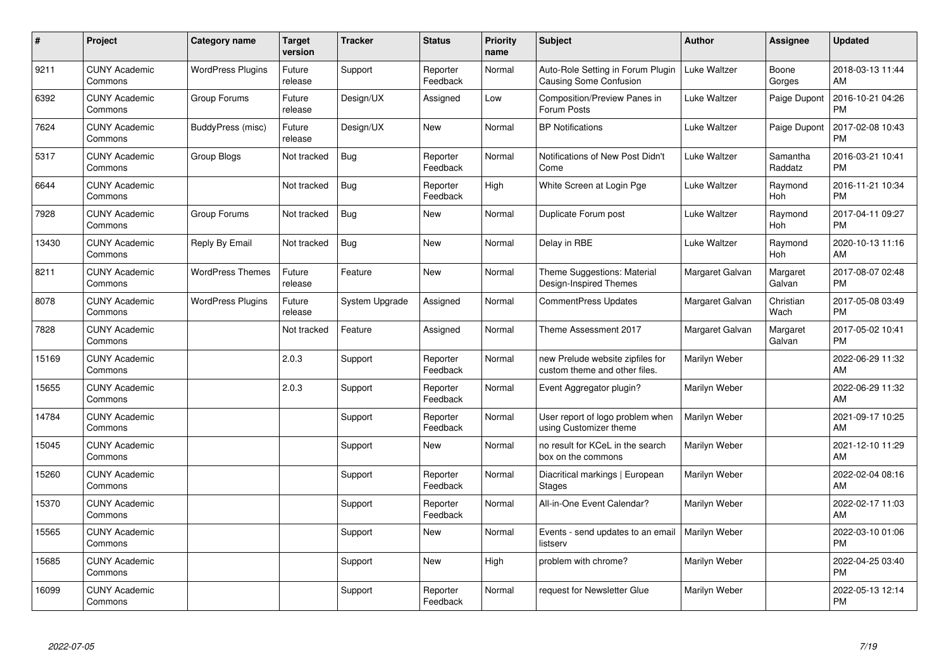| #     | Project                         | <b>Category name</b>     | <b>Target</b><br>version | <b>Tracker</b> | <b>Status</b>        | <b>Priority</b><br>name | <b>Subject</b>                                                     | <b>Author</b>   | Assignee            | <b>Updated</b>                |
|-------|---------------------------------|--------------------------|--------------------------|----------------|----------------------|-------------------------|--------------------------------------------------------------------|-----------------|---------------------|-------------------------------|
| 9211  | <b>CUNY Academic</b><br>Commons | <b>WordPress Plugins</b> | Future<br>release        | Support        | Reporter<br>Feedback | Normal                  | Auto-Role Setting in Forum Plugin<br><b>Causing Some Confusion</b> | Luke Waltzer    | Boone<br>Gorges     | 2018-03-13 11:44<br>AM        |
| 6392  | <b>CUNY Academic</b><br>Commons | Group Forums             | Future<br>release        | Design/UX      | Assigned             | Low                     | Composition/Preview Panes in<br>Forum Posts                        | Luke Waltzer    | Paige Dupont        | 2016-10-21 04:26<br><b>PM</b> |
| 7624  | <b>CUNY Academic</b><br>Commons | BuddyPress (misc)        | Future<br>release        | Design/UX      | <b>New</b>           | Normal                  | <b>BP Notifications</b>                                            | Luke Waltzer    | Paige Dupont        | 2017-02-08 10:43<br><b>PM</b> |
| 5317  | <b>CUNY Academic</b><br>Commons | Group Blogs              | Not tracked              | Bug            | Reporter<br>Feedback | Normal                  | Notifications of New Post Didn't<br>Come                           | Luke Waltzer    | Samantha<br>Raddatz | 2016-03-21 10:41<br><b>PM</b> |
| 6644  | <b>CUNY Academic</b><br>Commons |                          | Not tracked              | Bug            | Reporter<br>Feedback | High                    | White Screen at Login Pge                                          | Luke Waltzer    | Raymond<br>Hoh      | 2016-11-21 10:34<br><b>PM</b> |
| 7928  | <b>CUNY Academic</b><br>Commons | Group Forums             | Not tracked              | Bug            | <b>New</b>           | Normal                  | Duplicate Forum post                                               | Luke Waltzer    | Raymond<br>Hoh      | 2017-04-11 09:27<br><b>PM</b> |
| 13430 | <b>CUNY Academic</b><br>Commons | Reply By Email           | Not tracked              | Bug            | <b>New</b>           | Normal                  | Delay in RBE                                                       | Luke Waltzer    | Raymond<br>Hoh      | 2020-10-13 11:16<br>AM        |
| 8211  | <b>CUNY Academic</b><br>Commons | <b>WordPress Themes</b>  | Future<br>release        | Feature        | <b>New</b>           | Normal                  | Theme Suggestions: Material<br><b>Design-Inspired Themes</b>       | Margaret Galvan | Margaret<br>Galvan  | 2017-08-07 02:48<br><b>PM</b> |
| 8078  | <b>CUNY Academic</b><br>Commons | <b>WordPress Plugins</b> | Future<br>release        | System Upgrade | Assigned             | Normal                  | <b>CommentPress Updates</b>                                        | Margaret Galvan | Christian<br>Wach   | 2017-05-08 03:49<br><b>PM</b> |
| 7828  | <b>CUNY Academic</b><br>Commons |                          | Not tracked              | Feature        | Assigned             | Normal                  | Theme Assessment 2017                                              | Margaret Galvan | Margaret<br>Galvan  | 2017-05-02 10:41<br><b>PM</b> |
| 15169 | <b>CUNY Academic</b><br>Commons |                          | 2.0.3                    | Support        | Reporter<br>Feedback | Normal                  | new Prelude website zipfiles for<br>custom theme and other files.  | Marilyn Weber   |                     | 2022-06-29 11:32<br>AM        |
| 15655 | <b>CUNY Academic</b><br>Commons |                          | 2.0.3                    | Support        | Reporter<br>Feedback | Normal                  | Event Aggregator plugin?                                           | Marilyn Weber   |                     | 2022-06-29 11:32<br>AM        |
| 14784 | <b>CUNY Academic</b><br>Commons |                          |                          | Support        | Reporter<br>Feedback | Normal                  | User report of logo problem when<br>using Customizer theme         | Marilyn Weber   |                     | 2021-09-17 10:25<br><b>AM</b> |
| 15045 | <b>CUNY Academic</b><br>Commons |                          |                          | Support        | New                  | Normal                  | no result for KCeL in the search<br>box on the commons             | Marilyn Weber   |                     | 2021-12-10 11:29<br>AM        |
| 15260 | <b>CUNY Academic</b><br>Commons |                          |                          | Support        | Reporter<br>Feedback | Normal                  | Diacritical markings   European<br><b>Stages</b>                   | Marilyn Weber   |                     | 2022-02-04 08:16<br>AM        |
| 15370 | <b>CUNY Academic</b><br>Commons |                          |                          | Support        | Reporter<br>Feedback | Normal                  | All-in-One Event Calendar?                                         | Marilyn Weber   |                     | 2022-02-17 11:03<br><b>AM</b> |
| 15565 | <b>CUNY Academic</b><br>Commons |                          |                          | Support        | New                  | Normal                  | Events - send updates to an email<br>listserv                      | Marilyn Weber   |                     | 2022-03-10 01:06<br><b>PM</b> |
| 15685 | <b>CUNY Academic</b><br>Commons |                          |                          | Support        | New                  | High                    | problem with chrome?                                               | Marilyn Weber   |                     | 2022-04-25 03:40<br><b>PM</b> |
| 16099 | <b>CUNY Academic</b><br>Commons |                          |                          | Support        | Reporter<br>Feedback | Normal                  | request for Newsletter Glue                                        | Marilyn Weber   |                     | 2022-05-13 12:14<br>PM        |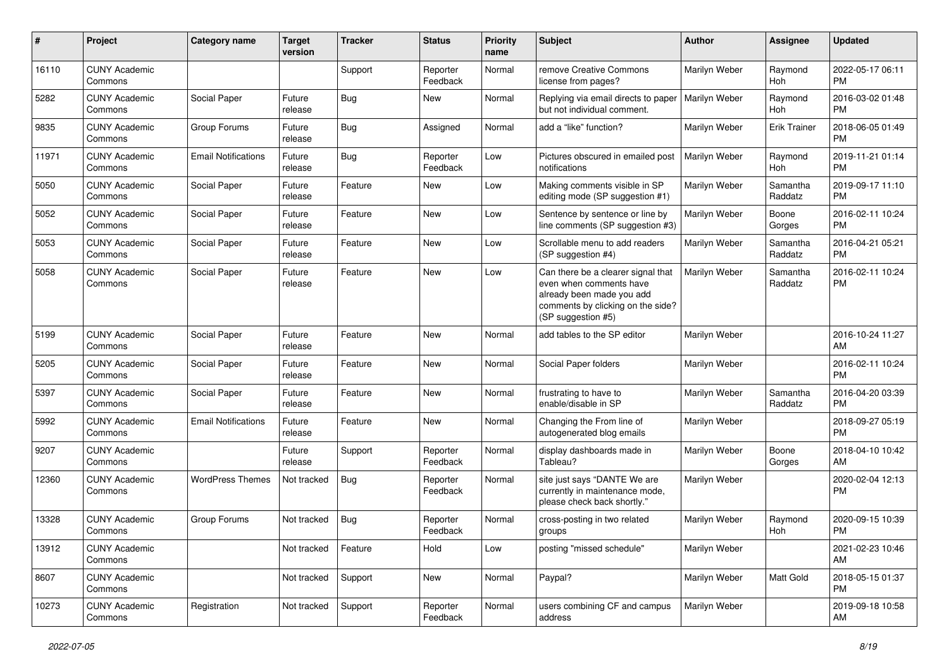| #     | Project                         | <b>Category name</b>       | <b>Target</b><br>version | <b>Tracker</b> | <b>Status</b>        | Priority<br>name | <b>Subject</b>                                                                                                                                        | Author        | <b>Assignee</b>     | <b>Updated</b>                |
|-------|---------------------------------|----------------------------|--------------------------|----------------|----------------------|------------------|-------------------------------------------------------------------------------------------------------------------------------------------------------|---------------|---------------------|-------------------------------|
| 16110 | <b>CUNY Academic</b><br>Commons |                            |                          | Support        | Reporter<br>Feedback | Normal           | remove Creative Commons<br>license from pages?                                                                                                        | Marilyn Weber | Raymond<br>Hoh      | 2022-05-17 06:11<br><b>PM</b> |
| 5282  | <b>CUNY Academic</b><br>Commons | Social Paper               | Future<br>release        | Bug            | New                  | Normal           | Replying via email directs to paper<br>but not individual comment.                                                                                    | Marilyn Weber | Raymond<br>Hoh      | 2016-03-02 01:48<br><b>PM</b> |
| 9835  | <b>CUNY Academic</b><br>Commons | Group Forums               | Future<br>release        | Bug            | Assigned             | Normal           | add a "like" function?                                                                                                                                | Marilyn Weber | <b>Erik Trainer</b> | 2018-06-05 01:49<br><b>PM</b> |
| 11971 | <b>CUNY Academic</b><br>Commons | <b>Email Notifications</b> | Future<br>release        | Bug            | Reporter<br>Feedback | Low              | Pictures obscured in emailed post<br>notifications                                                                                                    | Marilyn Weber | Raymond<br>Hoh      | 2019-11-21 01:14<br><b>PM</b> |
| 5050  | <b>CUNY Academic</b><br>Commons | Social Paper               | Future<br>release        | Feature        | New                  | Low              | Making comments visible in SP<br>editing mode (SP suggestion #1)                                                                                      | Marilyn Weber | Samantha<br>Raddatz | 2019-09-17 11:10<br><b>PM</b> |
| 5052  | <b>CUNY Academic</b><br>Commons | Social Paper               | Future<br>release        | Feature        | New                  | Low              | Sentence by sentence or line by<br>line comments (SP suggestion #3)                                                                                   | Marilyn Weber | Boone<br>Gorges     | 2016-02-11 10:24<br><b>PM</b> |
| 5053  | <b>CUNY Academic</b><br>Commons | Social Paper               | Future<br>release        | Feature        | <b>New</b>           | Low              | Scrollable menu to add readers<br>(SP suggestion #4)                                                                                                  | Marilyn Weber | Samantha<br>Raddatz | 2016-04-21 05:21<br><b>PM</b> |
| 5058  | <b>CUNY Academic</b><br>Commons | Social Paper               | Future<br>release        | Feature        | <b>New</b>           | Low              | Can there be a clearer signal that<br>even when comments have<br>already been made you add<br>comments by clicking on the side?<br>(SP suggestion #5) | Marilyn Weber | Samantha<br>Raddatz | 2016-02-11 10:24<br><b>PM</b> |
| 5199  | <b>CUNY Academic</b><br>Commons | Social Paper               | Future<br>release        | Feature        | New                  | Normal           | add tables to the SP editor                                                                                                                           | Marilyn Weber |                     | 2016-10-24 11:27<br>AM        |
| 5205  | <b>CUNY Academic</b><br>Commons | Social Paper               | Future<br>release        | Feature        | <b>New</b>           | Normal           | Social Paper folders                                                                                                                                  | Marilyn Weber |                     | 2016-02-11 10:24<br><b>PM</b> |
| 5397  | <b>CUNY Academic</b><br>Commons | Social Paper               | Future<br>release        | Feature        | New                  | Normal           | frustrating to have to<br>enable/disable in SP                                                                                                        | Marilyn Weber | Samantha<br>Raddatz | 2016-04-20 03:39<br><b>PM</b> |
| 5992  | <b>CUNY Academic</b><br>Commons | <b>Email Notifications</b> | Future<br>release        | Feature        | <b>New</b>           | Normal           | Changing the From line of<br>autogenerated blog emails                                                                                                | Marilyn Weber |                     | 2018-09-27 05:19<br><b>PM</b> |
| 9207  | <b>CUNY Academic</b><br>Commons |                            | Future<br>release        | Support        | Reporter<br>Feedback | Normal           | display dashboards made in<br>Tableau?                                                                                                                | Marilyn Weber | Boone<br>Gorges     | 2018-04-10 10:42<br>AM        |
| 12360 | <b>CUNY Academic</b><br>Commons | <b>WordPress Themes</b>    | Not tracked              | Bug            | Reporter<br>Feedback | Normal           | site just says "DANTE We are<br>currently in maintenance mode,<br>please check back shortly."                                                         | Marilyn Weber |                     | 2020-02-04 12:13<br><b>PM</b> |
| 13328 | <b>CUNY Academic</b><br>Commons | Group Forums               | Not tracked              | <b>Bug</b>     | Reporter<br>Feedback | Normal           | cross-posting in two related<br>groups                                                                                                                | Marilyn Weber | Raymond<br>Hoh      | 2020-09-15 10:39<br><b>PM</b> |
| 13912 | <b>CUNY Academic</b><br>Commons |                            | Not tracked              | Feature        | Hold                 | Low              | posting "missed schedule"                                                                                                                             | Marilyn Weber |                     | 2021-02-23 10:46<br>AM        |
| 8607  | <b>CUNY Academic</b><br>Commons |                            | Not tracked              | Support        | New                  | Normal           | Paypal?                                                                                                                                               | Marilyn Weber | Matt Gold           | 2018-05-15 01:37<br><b>PM</b> |
| 10273 | <b>CUNY Academic</b><br>Commons | Registration               | Not tracked              | Support        | Reporter<br>Feedback | Normal           | users combining CF and campus<br>address                                                                                                              | Marilyn Weber |                     | 2019-09-18 10:58<br>AM        |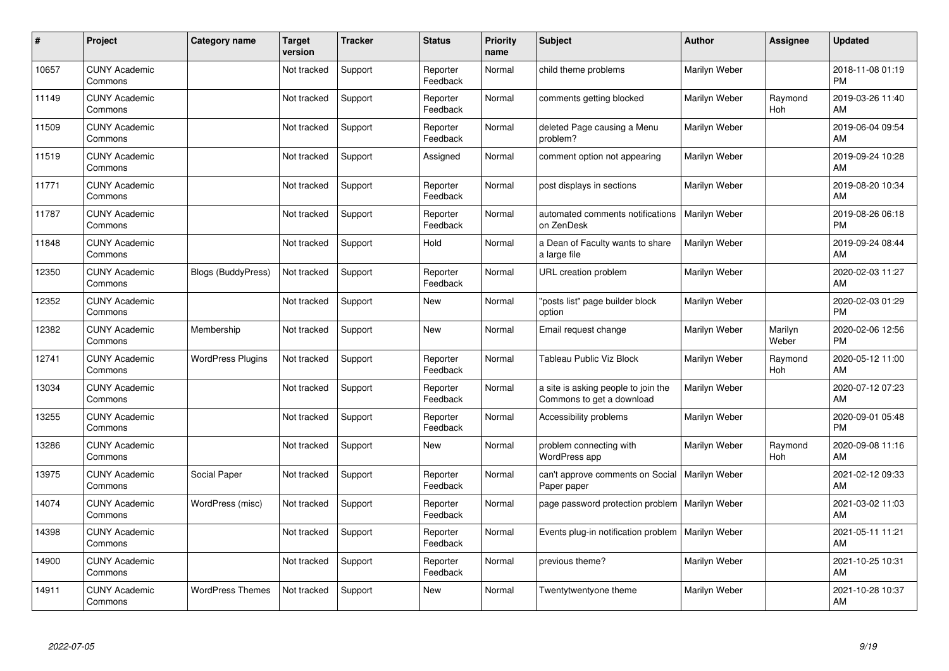| #     | Project                         | Category name             | <b>Target</b><br>version | <b>Tracker</b> | <b>Status</b>        | <b>Priority</b><br>name | <b>Subject</b>                                                   | <b>Author</b> | <b>Assignee</b>  | <b>Updated</b>                |
|-------|---------------------------------|---------------------------|--------------------------|----------------|----------------------|-------------------------|------------------------------------------------------------------|---------------|------------------|-------------------------------|
| 10657 | <b>CUNY Academic</b><br>Commons |                           | Not tracked              | Support        | Reporter<br>Feedback | Normal                  | child theme problems                                             | Marilyn Weber |                  | 2018-11-08 01:19<br><b>PM</b> |
| 11149 | <b>CUNY Academic</b><br>Commons |                           | Not tracked              | Support        | Reporter<br>Feedback | Normal                  | comments getting blocked                                         | Marilyn Weber | Raymond<br>Hoh   | 2019-03-26 11:40<br>AM        |
| 11509 | <b>CUNY Academic</b><br>Commons |                           | Not tracked              | Support        | Reporter<br>Feedback | Normal                  | deleted Page causing a Menu<br>problem?                          | Marilyn Weber |                  | 2019-06-04 09:54<br>AM        |
| 11519 | <b>CUNY Academic</b><br>Commons |                           | Not tracked              | Support        | Assigned             | Normal                  | comment option not appearing                                     | Marilyn Weber |                  | 2019-09-24 10:28<br>AM        |
| 11771 | <b>CUNY Academic</b><br>Commons |                           | Not tracked              | Support        | Reporter<br>Feedback | Normal                  | post displays in sections                                        | Marilyn Weber |                  | 2019-08-20 10:34<br>AM        |
| 11787 | <b>CUNY Academic</b><br>Commons |                           | Not tracked              | Support        | Reporter<br>Feedback | Normal                  | automated comments notifications<br>on ZenDesk                   | Marilyn Weber |                  | 2019-08-26 06:18<br><b>PM</b> |
| 11848 | <b>CUNY Academic</b><br>Commons |                           | Not tracked              | Support        | Hold                 | Normal                  | a Dean of Faculty wants to share<br>a large file                 | Marilyn Weber |                  | 2019-09-24 08:44<br>AM        |
| 12350 | <b>CUNY Academic</b><br>Commons | <b>Blogs (BuddyPress)</b> | Not tracked              | Support        | Reporter<br>Feedback | Normal                  | URL creation problem                                             | Marilyn Weber |                  | 2020-02-03 11:27<br>AM        |
| 12352 | <b>CUNY Academic</b><br>Commons |                           | Not tracked              | Support        | <b>New</b>           | Normal                  | "posts list" page builder block<br>option                        | Marilyn Weber |                  | 2020-02-03 01:29<br><b>PM</b> |
| 12382 | <b>CUNY Academic</b><br>Commons | Membership                | Not tracked              | Support        | <b>New</b>           | Normal                  | Email request change                                             | Marilyn Weber | Marilyn<br>Weber | 2020-02-06 12:56<br><b>PM</b> |
| 12741 | <b>CUNY Academic</b><br>Commons | <b>WordPress Plugins</b>  | Not tracked              | Support        | Reporter<br>Feedback | Normal                  | Tableau Public Viz Block                                         | Marilyn Weber | Raymond<br>Hoh   | 2020-05-12 11:00<br>AM        |
| 13034 | <b>CUNY Academic</b><br>Commons |                           | Not tracked              | Support        | Reporter<br>Feedback | Normal                  | a site is asking people to join the<br>Commons to get a download | Marilyn Weber |                  | 2020-07-12 07:23<br>AM        |
| 13255 | <b>CUNY Academic</b><br>Commons |                           | Not tracked              | Support        | Reporter<br>Feedback | Normal                  | Accessibility problems                                           | Marilyn Weber |                  | 2020-09-01 05:48<br><b>PM</b> |
| 13286 | <b>CUNY Academic</b><br>Commons |                           | Not tracked              | Support        | <b>New</b>           | Normal                  | problem connecting with<br><b>WordPress app</b>                  | Marilyn Weber | Raymond<br>Hoh   | 2020-09-08 11:16<br>AM        |
| 13975 | <b>CUNY Academic</b><br>Commons | Social Paper              | Not tracked              | Support        | Reporter<br>Feedback | Normal                  | can't approve comments on Social   Marilyn Weber<br>Paper paper  |               |                  | 2021-02-12 09:33<br>AM        |
| 14074 | <b>CUNY Academic</b><br>Commons | WordPress (misc)          | Not tracked              | Support        | Reporter<br>Feedback | Normal                  | page password protection problem   Marilyn Weber                 |               |                  | 2021-03-02 11:03<br>AM        |
| 14398 | <b>CUNY Academic</b><br>Commons |                           | Not tracked              | Support        | Reporter<br>Feedback | Normal                  | Events plug-in notification problem   Marilyn Weber              |               |                  | 2021-05-11 11:21<br>AM        |
| 14900 | <b>CUNY Academic</b><br>Commons |                           | Not tracked              | Support        | Reporter<br>Feedback | Normal                  | previous theme?                                                  | Marilyn Weber |                  | 2021-10-25 10:31<br>AM        |
| 14911 | <b>CUNY Academic</b><br>Commons | <b>WordPress Themes</b>   | Not tracked              | Support        | <b>New</b>           | Normal                  | Twentytwentyone theme                                            | Marilyn Weber |                  | 2021-10-28 10:37<br>AM        |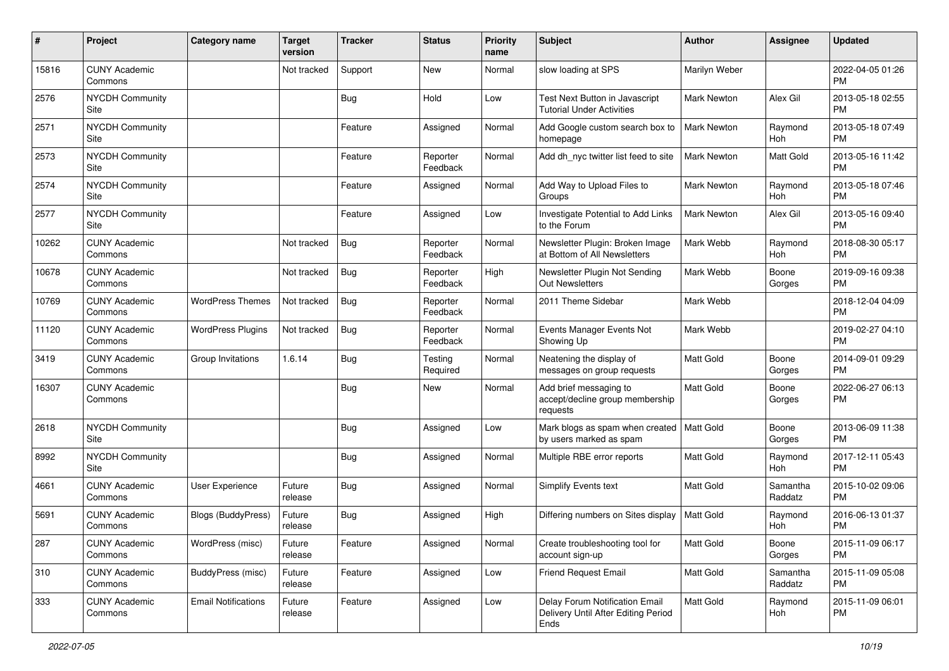| #     | Project                         | <b>Category name</b>       | <b>Target</b><br>version | <b>Tracker</b> | <b>Status</b>        | Priority<br>name | <b>Subject</b>                                                                | <b>Author</b>      | <b>Assignee</b>     | <b>Updated</b>                |
|-------|---------------------------------|----------------------------|--------------------------|----------------|----------------------|------------------|-------------------------------------------------------------------------------|--------------------|---------------------|-------------------------------|
| 15816 | <b>CUNY Academic</b><br>Commons |                            | Not tracked              | Support        | <b>New</b>           | Normal           | slow loading at SPS                                                           | Marilyn Weber      |                     | 2022-04-05 01:26<br>PM.       |
| 2576  | NYCDH Community<br>Site         |                            |                          | <b>Bug</b>     | Hold                 | Low              | Test Next Button in Javascript<br><b>Tutorial Under Activities</b>            | Mark Newton        | Alex Gil            | 2013-05-18 02:55<br><b>PM</b> |
| 2571  | <b>NYCDH Community</b><br>Site  |                            |                          | Feature        | Assigned             | Normal           | Add Google custom search box to<br>homepage                                   | <b>Mark Newton</b> | Raymond<br>Hoh      | 2013-05-18 07:49<br><b>PM</b> |
| 2573  | <b>NYCDH Community</b><br>Site  |                            |                          | Feature        | Reporter<br>Feedback | Normal           | Add dh nyc twitter list feed to site                                          | Mark Newton        | Matt Gold           | 2013-05-16 11:42<br><b>PM</b> |
| 2574  | <b>NYCDH Community</b><br>Site  |                            |                          | Feature        | Assigned             | Normal           | Add Way to Upload Files to<br>Groups                                          | Mark Newton        | Raymond<br>Hoh      | 2013-05-18 07:46<br><b>PM</b> |
| 2577  | <b>NYCDH Community</b><br>Site  |                            |                          | Feature        | Assigned             | Low              | Investigate Potential to Add Links<br>to the Forum                            | Mark Newton        | Alex Gil            | 2013-05-16 09:40<br><b>PM</b> |
| 10262 | <b>CUNY Academic</b><br>Commons |                            | Not tracked              | Bug            | Reporter<br>Feedback | Normal           | Newsletter Plugin: Broken Image<br>at Bottom of All Newsletters               | Mark Webb          | Raymond<br>Hoh      | 2018-08-30 05:17<br><b>PM</b> |
| 10678 | <b>CUNY Academic</b><br>Commons |                            | Not tracked              | Bug            | Reporter<br>Feedback | High             | Newsletter Plugin Not Sending<br>Out Newsletters                              | Mark Webb          | Boone<br>Gorges     | 2019-09-16 09:38<br><b>PM</b> |
| 10769 | <b>CUNY Academic</b><br>Commons | <b>WordPress Themes</b>    | Not tracked              | Bug            | Reporter<br>Feedback | Normal           | 2011 Theme Sidebar                                                            | Mark Webb          |                     | 2018-12-04 04:09<br><b>PM</b> |
| 11120 | <b>CUNY Academic</b><br>Commons | <b>WordPress Plugins</b>   | Not tracked              | Bug            | Reporter<br>Feedback | Normal           | Events Manager Events Not<br>Showing Up                                       | Mark Webb          |                     | 2019-02-27 04:10<br><b>PM</b> |
| 3419  | <b>CUNY Academic</b><br>Commons | Group Invitations          | 1.6.14                   | Bug            | Testing<br>Required  | Normal           | Neatening the display of<br>messages on group requests                        | <b>Matt Gold</b>   | Boone<br>Gorges     | 2014-09-01 09:29<br>PM.       |
| 16307 | <b>CUNY Academic</b><br>Commons |                            |                          | Bug            | New                  | Normal           | Add brief messaging to<br>accept/decline group membership<br>requests         | Matt Gold          | Boone<br>Gorges     | 2022-06-27 06:13<br>PM.       |
| 2618  | <b>NYCDH Community</b><br>Site  |                            |                          | Bug            | Assigned             | Low              | Mark blogs as spam when created<br>by users marked as spam                    | Matt Gold          | Boone<br>Gorges     | 2013-06-09 11:38<br>PM.       |
| 8992  | <b>NYCDH Community</b><br>Site  |                            |                          | Bug            | Assigned             | Normal           | Multiple RBE error reports                                                    | <b>Matt Gold</b>   | Raymond<br>Hoh      | 2017-12-11 05:43<br><b>PM</b> |
| 4661  | <b>CUNY Academic</b><br>Commons | User Experience            | Future<br>release        | Bug            | Assigned             | Normal           | Simplify Events text                                                          | Matt Gold          | Samantha<br>Raddatz | 2015-10-02 09:06<br><b>PM</b> |
| 5691  | <b>CUNY Academic</b><br>Commons | <b>Blogs (BuddyPress)</b>  | Future<br>release        | Bug            | Assigned             | High             | Differing numbers on Sites display                                            | <b>Matt Gold</b>   | Raymond<br>Hoh      | 2016-06-13 01:37<br><b>PM</b> |
| 287   | <b>CUNY Academic</b><br>Commons | WordPress (misc)           | Future<br>release        | Feature        | Assigned             | Normal           | Create troubleshooting tool for<br>account sign-up                            | <b>Matt Gold</b>   | Boone<br>Gorges     | 2015-11-09 06:17<br><b>PM</b> |
| 310   | <b>CUNY Academic</b><br>Commons | BuddyPress (misc)          | Future<br>release        | Feature        | Assigned             | Low              | Friend Request Email                                                          | Matt Gold          | Samantha<br>Raddatz | 2015-11-09 05:08<br><b>PM</b> |
| 333   | <b>CUNY Academic</b><br>Commons | <b>Email Notifications</b> | Future<br>release        | Feature        | Assigned             | Low              | Delay Forum Notification Email<br>Delivery Until After Editing Period<br>Ends | Matt Gold          | Raymond<br>Hoh      | 2015-11-09 06:01<br>PM        |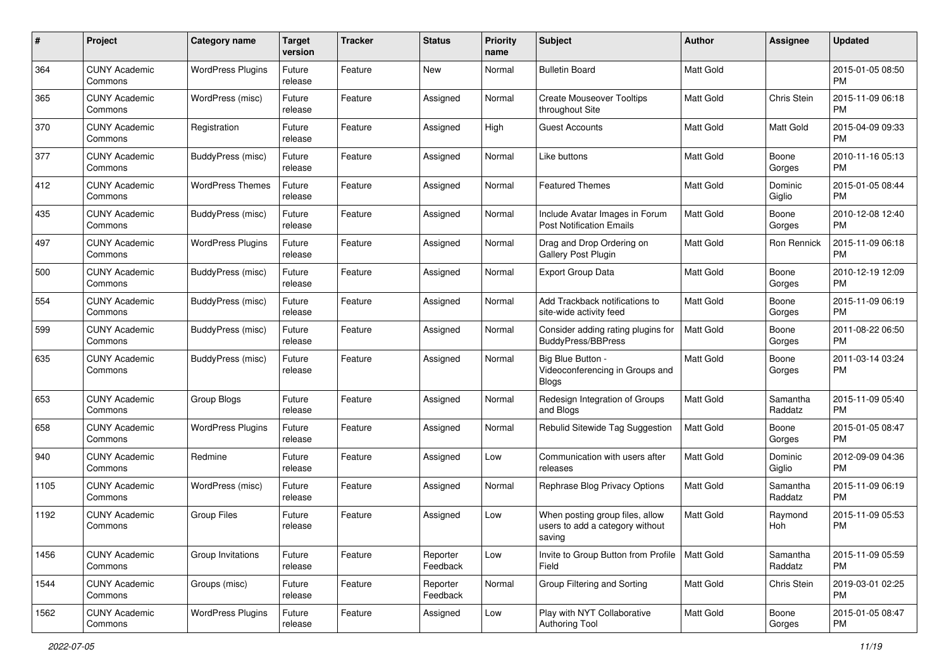| #    | Project                         | <b>Category name</b>     | <b>Target</b><br>version | Tracker | <b>Status</b>        | <b>Priority</b><br>name | <b>Subject</b>                                                               | <b>Author</b>    | <b>Assignee</b>     | <b>Updated</b>                |
|------|---------------------------------|--------------------------|--------------------------|---------|----------------------|-------------------------|------------------------------------------------------------------------------|------------------|---------------------|-------------------------------|
| 364  | <b>CUNY Academic</b><br>Commons | <b>WordPress Plugins</b> | Future<br>release        | Feature | New                  | Normal                  | <b>Bulletin Board</b>                                                        | <b>Matt Gold</b> |                     | 2015-01-05 08:50<br><b>PM</b> |
| 365  | <b>CUNY Academic</b><br>Commons | WordPress (misc)         | Future<br>release        | Feature | Assigned             | Normal                  | <b>Create Mouseover Tooltips</b><br>throughout Site                          | <b>Matt Gold</b> | Chris Stein         | 2015-11-09 06:18<br><b>PM</b> |
| 370  | <b>CUNY Academic</b><br>Commons | Registration             | Future<br>release        | Feature | Assigned             | High                    | Guest Accounts                                                               | <b>Matt Gold</b> | <b>Matt Gold</b>    | 2015-04-09 09:33<br><b>PM</b> |
| 377  | <b>CUNY Academic</b><br>Commons | BuddyPress (misc)        | Future<br>release        | Feature | Assigned             | Normal                  | Like buttons                                                                 | <b>Matt Gold</b> | Boone<br>Gorges     | 2010-11-16 05:13<br><b>PM</b> |
| 412  | <b>CUNY Academic</b><br>Commons | <b>WordPress Themes</b>  | Future<br>release        | Feature | Assigned             | Normal                  | <b>Featured Themes</b>                                                       | Matt Gold        | Dominic<br>Giglio   | 2015-01-05 08:44<br><b>PM</b> |
| 435  | <b>CUNY Academic</b><br>Commons | <b>BuddyPress (misc)</b> | Future<br>release        | Feature | Assigned             | Normal                  | Include Avatar Images in Forum<br><b>Post Notification Emails</b>            | Matt Gold        | Boone<br>Gorges     | 2010-12-08 12:40<br><b>PM</b> |
| 497  | CUNY Academic<br>Commons        | <b>WordPress Plugins</b> | Future<br>release        | Feature | Assigned             | Normal                  | Drag and Drop Ordering on<br>Gallery Post Plugin                             | Matt Gold        | Ron Rennick         | 2015-11-09 06:18<br><b>PM</b> |
| 500  | <b>CUNY Academic</b><br>Commons | BuddyPress (misc)        | Future<br>release        | Feature | Assigned             | Normal                  | Export Group Data                                                            | <b>Matt Gold</b> | Boone<br>Gorges     | 2010-12-19 12:09<br>PM.       |
| 554  | <b>CUNY Academic</b><br>Commons | BuddyPress (misc)        | Future<br>release        | Feature | Assigned             | Normal                  | Add Trackback notifications to<br>site-wide activity feed                    | <b>Matt Gold</b> | Boone<br>Gorges     | 2015-11-09 06:19<br><b>PM</b> |
| 599  | <b>CUNY Academic</b><br>Commons | BuddyPress (misc)        | Future<br>release        | Feature | Assigned             | Normal                  | Consider adding rating plugins for<br><b>BuddyPress/BBPress</b>              | Matt Gold        | Boone<br>Gorges     | 2011-08-22 06:50<br><b>PM</b> |
| 635  | <b>CUNY Academic</b><br>Commons | BuddyPress (misc)        | Future<br>release        | Feature | Assigned             | Normal                  | Big Blue Button -<br>Videoconferencing in Groups and<br><b>Blogs</b>         | Matt Gold        | Boone<br>Gorges     | 2011-03-14 03:24<br><b>PM</b> |
| 653  | <b>CUNY Academic</b><br>Commons | Group Blogs              | Future<br>release        | Feature | Assigned             | Normal                  | Redesign Integration of Groups<br>and Blogs                                  | <b>Matt Gold</b> | Samantha<br>Raddatz | 2015-11-09 05:40<br><b>PM</b> |
| 658  | <b>CUNY Academic</b><br>Commons | <b>WordPress Plugins</b> | Future<br>release        | Feature | Assigned             | Normal                  | Rebulid Sitewide Tag Suggestion                                              | <b>Matt Gold</b> | Boone<br>Gorges     | 2015-01-05 08:47<br><b>PM</b> |
| 940  | <b>CUNY Academic</b><br>Commons | Redmine                  | Future<br>release        | Feature | Assigned             | Low                     | Communication with users after<br>releases                                   | <b>Matt Gold</b> | Dominic<br>Giglio   | 2012-09-09 04:36<br><b>PM</b> |
| 1105 | <b>CUNY Academic</b><br>Commons | WordPress (misc)         | Future<br>release        | Feature | Assigned             | Normal                  | Rephrase Blog Privacy Options                                                | Matt Gold        | Samantha<br>Raddatz | 2015-11-09 06:19<br><b>PM</b> |
| 1192 | <b>CUNY Academic</b><br>Commons | <b>Group Files</b>       | Future<br>release        | Feature | Assigned             | Low                     | When posting group files, allow<br>users to add a category without<br>saving | <b>Matt Gold</b> | Raymond<br>Hoh      | 2015-11-09 05:53<br><b>PM</b> |
| 1456 | <b>CUNY Academic</b><br>Commons | Group Invitations        | Future<br>release        | Feature | Reporter<br>Feedback | Low                     | Invite to Group Button from Profile<br>Field                                 | Matt Gold        | Samantha<br>Raddatz | 2015-11-09 05:59<br><b>PM</b> |
| 1544 | <b>CUNY Academic</b><br>Commons | Groups (misc)            | Future<br>release        | Feature | Reporter<br>Feedback | Normal                  | Group Filtering and Sorting                                                  | Matt Gold        | Chris Stein         | 2019-03-01 02:25<br><b>PM</b> |
| 1562 | <b>CUNY Academic</b><br>Commons | <b>WordPress Plugins</b> | Future<br>release        | Feature | Assigned             | Low                     | Play with NYT Collaborative<br>Authoring Tool                                | Matt Gold        | Boone<br>Gorges     | 2015-01-05 08:47<br>PM        |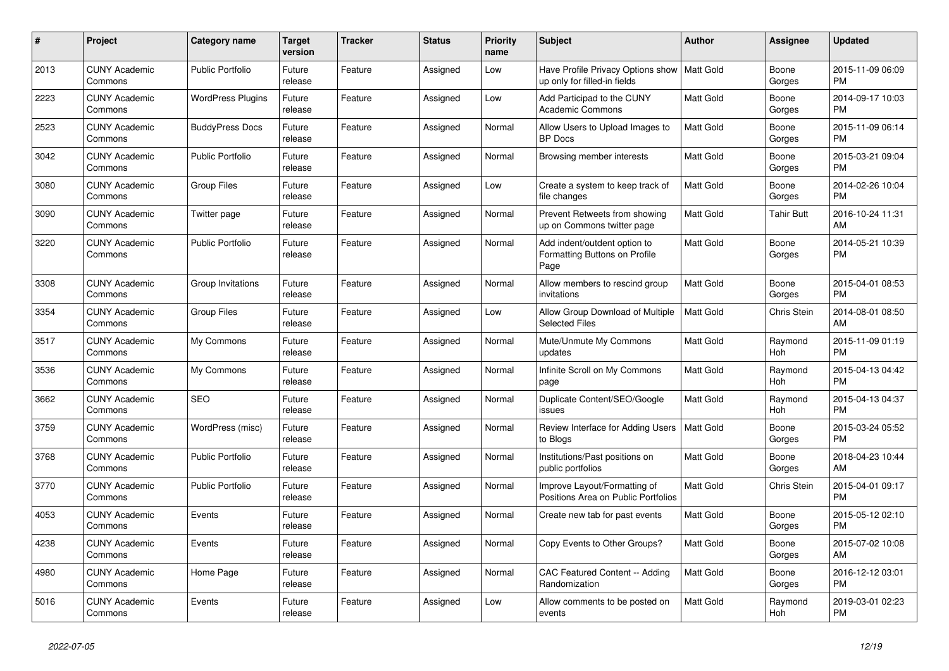| $\#$ | Project                         | <b>Category name</b>     | <b>Target</b><br>version | <b>Tracker</b> | <b>Status</b> | <b>Priority</b><br>name | <b>Subject</b>                                                                | <b>Author</b>    | <b>Assignee</b>    | <b>Updated</b>                |
|------|---------------------------------|--------------------------|--------------------------|----------------|---------------|-------------------------|-------------------------------------------------------------------------------|------------------|--------------------|-------------------------------|
| 2013 | <b>CUNY Academic</b><br>Commons | <b>Public Portfolio</b>  | Future<br>release        | Feature        | Assigned      | Low                     | Have Profile Privacy Options show   Matt Gold<br>up only for filled-in fields |                  | Boone<br>Gorges    | 2015-11-09 06:09<br><b>PM</b> |
| 2223 | <b>CUNY Academic</b><br>Commons | <b>WordPress Plugins</b> | Future<br>release        | Feature        | Assigned      | Low                     | Add Participad to the CUNY<br><b>Academic Commons</b>                         | Matt Gold        | Boone<br>Gorges    | 2014-09-17 10:03<br><b>PM</b> |
| 2523 | <b>CUNY Academic</b><br>Commons | <b>BuddyPress Docs</b>   | Future<br>release        | Feature        | Assigned      | Normal                  | Allow Users to Upload Images to<br><b>BP</b> Docs                             | Matt Gold        | Boone<br>Gorges    | 2015-11-09 06:14<br><b>PM</b> |
| 3042 | <b>CUNY Academic</b><br>Commons | <b>Public Portfolio</b>  | Future<br>release        | Feature        | Assigned      | Normal                  | Browsing member interests                                                     | <b>Matt Gold</b> | Boone<br>Gorges    | 2015-03-21 09:04<br><b>PM</b> |
| 3080 | <b>CUNY Academic</b><br>Commons | <b>Group Files</b>       | Future<br>release        | Feature        | Assigned      | Low                     | Create a system to keep track of<br>file changes                              | Matt Gold        | Boone<br>Gorges    | 2014-02-26 10:04<br><b>PM</b> |
| 3090 | <b>CUNY Academic</b><br>Commons | Twitter page             | Future<br>release        | Feature        | Assigned      | Normal                  | Prevent Retweets from showing<br>up on Commons twitter page                   | Matt Gold        | Tahir Butt         | 2016-10-24 11:31<br>AM        |
| 3220 | <b>CUNY Academic</b><br>Commons | <b>Public Portfolio</b>  | Future<br>release        | Feature        | Assigned      | Normal                  | Add indent/outdent option to<br>Formatting Buttons on Profile<br>Page         | <b>Matt Gold</b> | Boone<br>Gorges    | 2014-05-21 10:39<br><b>PM</b> |
| 3308 | <b>CUNY Academic</b><br>Commons | Group Invitations        | Future<br>release        | Feature        | Assigned      | Normal                  | Allow members to rescind group<br>invitations                                 | Matt Gold        | Boone<br>Gorges    | 2015-04-01 08:53<br><b>PM</b> |
| 3354 | <b>CUNY Academic</b><br>Commons | <b>Group Files</b>       | Future<br>release        | Feature        | Assigned      | Low                     | Allow Group Download of Multiple<br><b>Selected Files</b>                     | <b>Matt Gold</b> | <b>Chris Stein</b> | 2014-08-01 08:50<br>AM        |
| 3517 | <b>CUNY Academic</b><br>Commons | My Commons               | Future<br>release        | Feature        | Assigned      | Normal                  | Mute/Unmute My Commons<br>updates                                             | Matt Gold        | Raymond<br>Hoh     | 2015-11-09 01:19<br><b>PM</b> |
| 3536 | <b>CUNY Academic</b><br>Commons | My Commons               | Future<br>release        | Feature        | Assigned      | Normal                  | Infinite Scroll on My Commons<br>page                                         | Matt Gold        | Raymond<br>Hoh     | 2015-04-13 04:42<br><b>PM</b> |
| 3662 | <b>CUNY Academic</b><br>Commons | <b>SEO</b>               | Future<br>release        | Feature        | Assigned      | Normal                  | Duplicate Content/SEO/Google<br>issues                                        | <b>Matt Gold</b> | Raymond<br>Hoh     | 2015-04-13 04:37<br><b>PM</b> |
| 3759 | <b>CUNY Academic</b><br>Commons | WordPress (misc)         | Future<br>release        | Feature        | Assigned      | Normal                  | Review Interface for Adding Users<br>to Blogs                                 | <b>Matt Gold</b> | Boone<br>Gorges    | 2015-03-24 05:52<br><b>PM</b> |
| 3768 | <b>CUNY Academic</b><br>Commons | <b>Public Portfolio</b>  | Future<br>release        | Feature        | Assigned      | Normal                  | Institutions/Past positions on<br>public portfolios                           | Matt Gold        | Boone<br>Gorges    | 2018-04-23 10:44<br>AM        |
| 3770 | <b>CUNY Academic</b><br>Commons | <b>Public Portfolio</b>  | Future<br>release        | Feature        | Assigned      | Normal                  | Improve Layout/Formatting of<br>Positions Area on Public Portfolios           | Matt Gold        | Chris Stein        | 2015-04-01 09:17<br><b>PM</b> |
| 4053 | <b>CUNY Academic</b><br>Commons | Events                   | Future<br>release        | Feature        | Assigned      | Normal                  | Create new tab for past events                                                | Matt Gold        | Boone<br>Gorges    | 2015-05-12 02:10<br><b>PM</b> |
| 4238 | <b>CUNY Academic</b><br>Commons | Events                   | Future<br>release        | Feature        | Assigned      | Normal                  | Copy Events to Other Groups?                                                  | Matt Gold        | Boone<br>Gorges    | 2015-07-02 10:08<br>AM        |
| 4980 | <b>CUNY Academic</b><br>Commons | Home Page                | Future<br>release        | Feature        | Assigned      | Normal                  | CAC Featured Content -- Adding<br>Randomization                               | Matt Gold        | Boone<br>Gorges    | 2016-12-12 03:01<br><b>PM</b> |
| 5016 | <b>CUNY Academic</b><br>Commons | Events                   | Future<br>release        | Feature        | Assigned      | Low                     | Allow comments to be posted on<br>events                                      | <b>Matt Gold</b> | Raymond<br>Hoh     | 2019-03-01 02:23<br><b>PM</b> |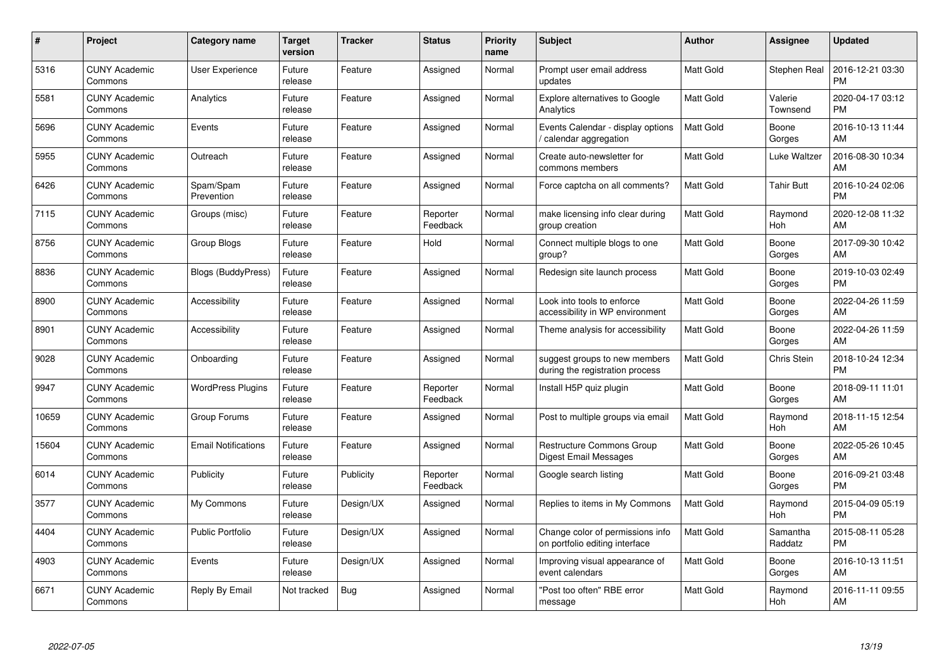| $\#$  | Project                         | <b>Category name</b>       | Target<br>version | <b>Tracker</b> | <b>Status</b>        | Priority<br>name | <b>Subject</b>                                                     | <b>Author</b>    | <b>Assignee</b>     | <b>Updated</b>                |
|-------|---------------------------------|----------------------------|-------------------|----------------|----------------------|------------------|--------------------------------------------------------------------|------------------|---------------------|-------------------------------|
| 5316  | <b>CUNY Academic</b><br>Commons | <b>User Experience</b>     | Future<br>release | Feature        | Assigned             | Normal           | Prompt user email address<br>updates                               | <b>Matt Gold</b> | Stephen Real        | 2016-12-21 03:30<br><b>PM</b> |
| 5581  | <b>CUNY Academic</b><br>Commons | Analytics                  | Future<br>release | Feature        | Assigned             | Normal           | <b>Explore alternatives to Google</b><br>Analytics                 | <b>Matt Gold</b> | Valerie<br>Townsend | 2020-04-17 03:12<br><b>PM</b> |
| 5696  | <b>CUNY Academic</b><br>Commons | Events                     | Future<br>release | Feature        | Assigned             | Normal           | Events Calendar - display options<br>calendar aggregation          | Matt Gold        | Boone<br>Gorges     | 2016-10-13 11:44<br>AM        |
| 5955  | <b>CUNY Academic</b><br>Commons | Outreach                   | Future<br>release | Feature        | Assigned             | Normal           | Create auto-newsletter for<br>commons members                      | <b>Matt Gold</b> | Luke Waltzer        | 2016-08-30 10:34<br>AM        |
| 6426  | <b>CUNY Academic</b><br>Commons | Spam/Spam<br>Prevention    | Future<br>release | Feature        | Assigned             | Normal           | Force captcha on all comments?                                     | <b>Matt Gold</b> | <b>Tahir Butt</b>   | 2016-10-24 02:06<br><b>PM</b> |
| 7115  | <b>CUNY Academic</b><br>Commons | Groups (misc)              | Future<br>release | Feature        | Reporter<br>Feedback | Normal           | make licensing info clear during<br>group creation                 | <b>Matt Gold</b> | Raymond<br>Hoh      | 2020-12-08 11:32<br>AM        |
| 8756  | <b>CUNY Academic</b><br>Commons | Group Blogs                | Future<br>release | Feature        | Hold                 | Normal           | Connect multiple blogs to one<br>group?                            | Matt Gold        | Boone<br>Gorges     | 2017-09-30 10:42<br>AM        |
| 8836  | <b>CUNY Academic</b><br>Commons | <b>Blogs (BuddyPress)</b>  | Future<br>release | Feature        | Assigned             | Normal           | Redesign site launch process                                       | <b>Matt Gold</b> | Boone<br>Gorges     | 2019-10-03 02:49<br><b>PM</b> |
| 8900  | <b>CUNY Academic</b><br>Commons | Accessibility              | Future<br>release | Feature        | Assigned             | Normal           | Look into tools to enforce<br>accessibility in WP environment      | Matt Gold        | Boone<br>Gorges     | 2022-04-26 11:59<br>AM        |
| 8901  | <b>CUNY Academic</b><br>Commons | Accessibility              | Future<br>release | Feature        | Assigned             | Normal           | Theme analysis for accessibility                                   | <b>Matt Gold</b> | Boone<br>Gorges     | 2022-04-26 11:59<br>AM        |
| 9028  | <b>CUNY Academic</b><br>Commons | Onboarding                 | Future<br>release | Feature        | Assigned             | Normal           | suggest groups to new members<br>during the registration process   | Matt Gold        | Chris Stein         | 2018-10-24 12:34<br><b>PM</b> |
| 9947  | <b>CUNY Academic</b><br>Commons | <b>WordPress Plugins</b>   | Future<br>release | Feature        | Reporter<br>Feedback | Normal           | Install H5P quiz plugin                                            | Matt Gold        | Boone<br>Gorges     | 2018-09-11 11:01<br>AM        |
| 10659 | <b>CUNY Academic</b><br>Commons | Group Forums               | Future<br>release | Feature        | Assigned             | Normal           | Post to multiple groups via email                                  | <b>Matt Gold</b> | Raymond<br>Hoh      | 2018-11-15 12:54<br>AM        |
| 15604 | <b>CUNY Academic</b><br>Commons | <b>Email Notifications</b> | Future<br>release | Feature        | Assigned             | Normal           | Restructure Commons Group<br><b>Digest Email Messages</b>          | Matt Gold        | Boone<br>Gorges     | 2022-05-26 10:45<br>AM        |
| 6014  | <b>CUNY Academic</b><br>Commons | Publicity                  | Future<br>release | Publicity      | Reporter<br>Feedback | Normal           | Google search listing                                              | <b>Matt Gold</b> | Boone<br>Gorges     | 2016-09-21 03:48<br><b>PM</b> |
| 3577  | <b>CUNY Academic</b><br>Commons | My Commons                 | Future<br>release | Design/UX      | Assigned             | Normal           | Replies to items in My Commons                                     | Matt Gold        | Raymond<br>Hoh      | 2015-04-09 05:19<br><b>PM</b> |
| 4404  | <b>CUNY Academic</b><br>Commons | <b>Public Portfolio</b>    | Future<br>release | Design/UX      | Assigned             | Normal           | Change color of permissions info<br>on portfolio editing interface | <b>Matt Gold</b> | Samantha<br>Raddatz | 2015-08-11 05:28<br><b>PM</b> |
| 4903  | <b>CUNY Academic</b><br>Commons | Events                     | Future<br>release | Design/UX      | Assigned             | Normal           | Improving visual appearance of<br>event calendars                  | Matt Gold        | Boone<br>Gorges     | 2016-10-13 11:51<br>AM        |
| 6671  | CUNY Academic<br>Commons        | Reply By Email             | Not tracked       | Bug            | Assigned             | Normal           | "Post too often" RBE error<br>message                              | <b>Matt Gold</b> | Raymond<br>Hoh      | 2016-11-11 09:55<br>AM        |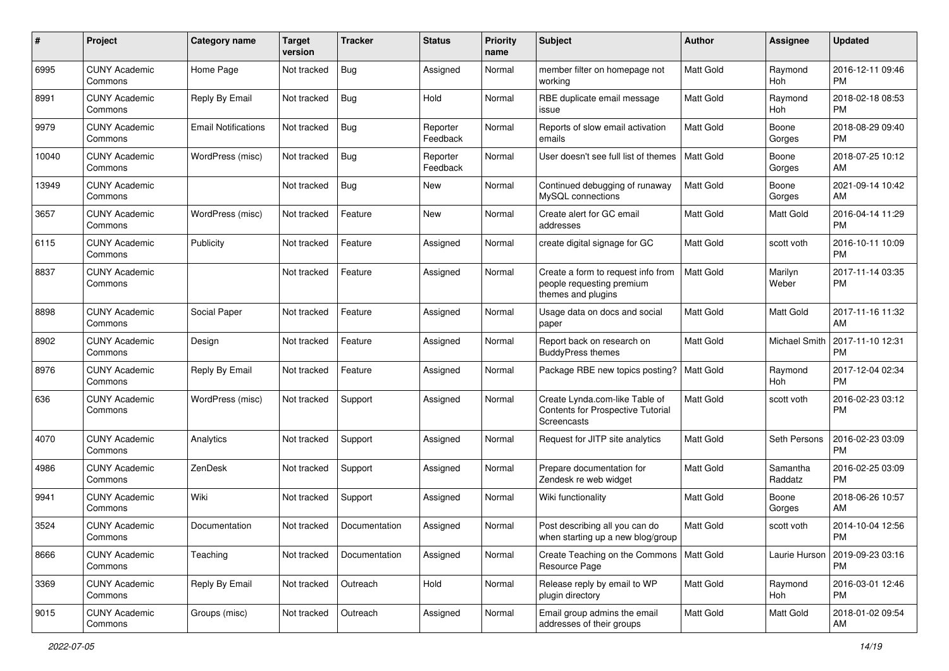| #     | Project                         | <b>Category name</b>       | <b>Target</b><br>version | <b>Tracker</b> | <b>Status</b>        | <b>Priority</b><br>name | Subject                                                                               | Author           | <b>Assignee</b>     | <b>Updated</b>                |
|-------|---------------------------------|----------------------------|--------------------------|----------------|----------------------|-------------------------|---------------------------------------------------------------------------------------|------------------|---------------------|-------------------------------|
| 6995  | <b>CUNY Academic</b><br>Commons | Home Page                  | Not tracked              | Bug            | Assigned             | Normal                  | member filter on homepage not<br>working                                              | <b>Matt Gold</b> | Raymond<br>Hoh      | 2016-12-11 09:46<br><b>PM</b> |
| 8991  | <b>CUNY Academic</b><br>Commons | Reply By Email             | Not tracked              | <b>Bug</b>     | Hold                 | Normal                  | RBE duplicate email message<br>issue                                                  | <b>Matt Gold</b> | Raymond<br>Hoh      | 2018-02-18 08:53<br><b>PM</b> |
| 9979  | <b>CUNY Academic</b><br>Commons | <b>Email Notifications</b> | Not tracked              | Bug            | Reporter<br>Feedback | Normal                  | Reports of slow email activation<br>emails                                            | Matt Gold        | Boone<br>Gorges     | 2018-08-29 09:40<br><b>PM</b> |
| 10040 | <b>CUNY Academic</b><br>Commons | WordPress (misc)           | Not tracked              | Bug            | Reporter<br>Feedback | Normal                  | User doesn't see full list of themes                                                  | <b>Matt Gold</b> | Boone<br>Gorges     | 2018-07-25 10:12<br>AM        |
| 13949 | <b>CUNY Academic</b><br>Commons |                            | Not tracked              | Bug            | New                  | Normal                  | Continued debugging of runaway<br>MySQL connections                                   | <b>Matt Gold</b> | Boone<br>Gorges     | 2021-09-14 10:42<br>AM        |
| 3657  | <b>CUNY Academic</b><br>Commons | WordPress (misc)           | Not tracked              | Feature        | <b>New</b>           | Normal                  | Create alert for GC email<br>addresses                                                | <b>Matt Gold</b> | Matt Gold           | 2016-04-14 11:29<br><b>PM</b> |
| 6115  | <b>CUNY Academic</b><br>Commons | Publicity                  | Not tracked              | Feature        | Assigned             | Normal                  | create digital signage for GC                                                         | Matt Gold        | scott voth          | 2016-10-11 10:09<br><b>PM</b> |
| 8837  | <b>CUNY Academic</b><br>Commons |                            | Not tracked              | Feature        | Assigned             | Normal                  | Create a form to request info from<br>people requesting premium<br>themes and plugins | Matt Gold        | Marilyn<br>Weber    | 2017-11-14 03:35<br><b>PM</b> |
| 8898  | <b>CUNY Academic</b><br>Commons | Social Paper               | Not tracked              | Feature        | Assigned             | Normal                  | Usage data on docs and social<br>paper                                                | <b>Matt Gold</b> | Matt Gold           | 2017-11-16 11:32<br>AM        |
| 8902  | <b>CUNY Academic</b><br>Commons | Design                     | Not tracked              | Feature        | Assigned             | Normal                  | Report back on research on<br><b>BuddyPress themes</b>                                | <b>Matt Gold</b> | Michael Smith       | 2017-11-10 12:31<br><b>PM</b> |
| 8976  | <b>CUNY Academic</b><br>Commons | Reply By Email             | Not tracked              | Feature        | Assigned             | Normal                  | Package RBE new topics posting?                                                       | Matt Gold        | Raymond<br>Hoh      | 2017-12-04 02:34<br><b>PM</b> |
| 636   | <b>CUNY Academic</b><br>Commons | WordPress (misc)           | Not tracked              | Support        | Assigned             | Normal                  | Create Lynda.com-like Table of<br>Contents for Prospective Tutorial<br>Screencasts    | <b>Matt Gold</b> | scott voth          | 2016-02-23 03:12<br><b>PM</b> |
| 4070  | <b>CUNY Academic</b><br>Commons | Analytics                  | Not tracked              | Support        | Assigned             | Normal                  | Request for JITP site analytics                                                       | <b>Matt Gold</b> | Seth Persons        | 2016-02-23 03:09<br><b>PM</b> |
| 4986  | <b>CUNY Academic</b><br>Commons | ZenDesk                    | Not tracked              | Support        | Assigned             | Normal                  | Prepare documentation for<br>Zendesk re web widget                                    | Matt Gold        | Samantha<br>Raddatz | 2016-02-25 03:09<br><b>PM</b> |
| 9941  | <b>CUNY Academic</b><br>Commons | Wiki                       | Not tracked              | Support        | Assigned             | Normal                  | Wiki functionality                                                                    | <b>Matt Gold</b> | Boone<br>Gorges     | 2018-06-26 10:57<br>AM        |
| 3524  | <b>CUNY Academic</b><br>Commons | Documentation              | Not tracked              | Documentation  | Assigned             | Normal                  | Post describing all you can do<br>when starting up a new blog/group                   | <b>Matt Gold</b> | scott voth          | 2014-10-04 12:56<br>PM        |
| 8666  | <b>CUNY Academic</b><br>Commons | Teaching                   | Not tracked              | Documentation  | Assigned             | Normal                  | Create Teaching on the Commons   Matt Gold<br>Resource Page                           |                  | Laurie Hurson       | 2019-09-23 03:16<br><b>PM</b> |
| 3369  | <b>CUNY Academic</b><br>Commons | Reply By Email             | Not tracked              | Outreach       | Hold                 | Normal                  | Release reply by email to WP<br>plugin directory                                      | Matt Gold        | Raymond<br>Hoh      | 2016-03-01 12:46<br><b>PM</b> |
| 9015  | <b>CUNY Academic</b><br>Commons | Groups (misc)              | Not tracked              | Outreach       | Assigned             | Normal                  | Email group admins the email<br>addresses of their groups                             | Matt Gold        | Matt Gold           | 2018-01-02 09:54<br>AM        |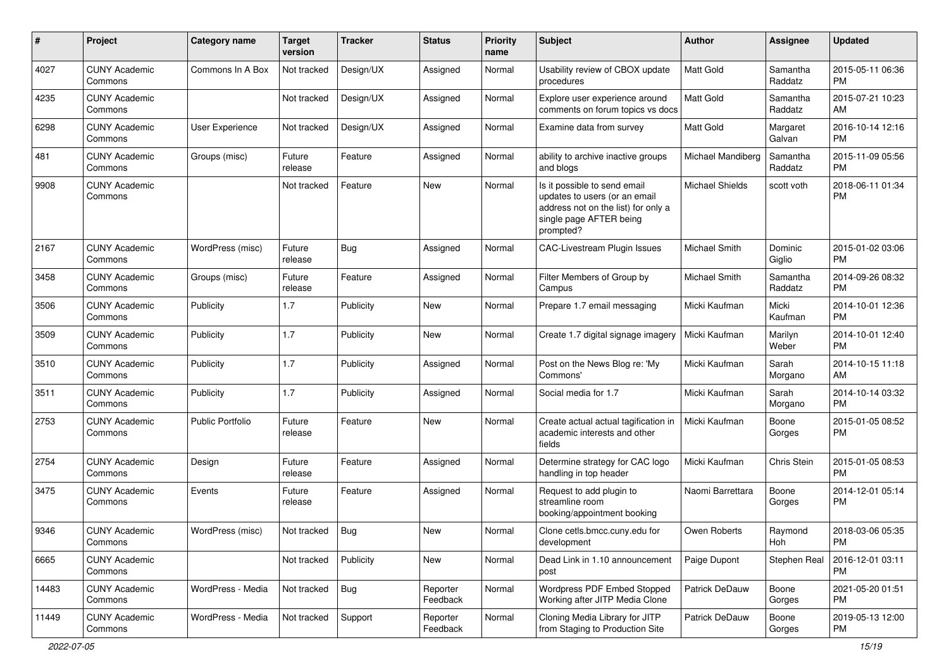| #     | Project                         | Category name           | <b>Target</b><br>version | <b>Tracker</b> | <b>Status</b>        | <b>Priority</b><br>name | <b>Subject</b>                                                                                                                               | Author                 | <b>Assignee</b>     | <b>Updated</b>                |
|-------|---------------------------------|-------------------------|--------------------------|----------------|----------------------|-------------------------|----------------------------------------------------------------------------------------------------------------------------------------------|------------------------|---------------------|-------------------------------|
| 4027  | <b>CUNY Academic</b><br>Commons | Commons In A Box        | Not tracked              | Design/UX      | Assigned             | Normal                  | Usability review of CBOX update<br>procedures                                                                                                | <b>Matt Gold</b>       | Samantha<br>Raddatz | 2015-05-11 06:36<br>PM        |
| 4235  | <b>CUNY Academic</b><br>Commons |                         | Not tracked              | Design/UX      | Assigned             | Normal                  | Explore user experience around<br>comments on forum topics vs docs                                                                           | <b>Matt Gold</b>       | Samantha<br>Raddatz | 2015-07-21 10:23<br>AM        |
| 6298  | <b>CUNY Academic</b><br>Commons | <b>User Experience</b>  | Not tracked              | Design/UX      | Assigned             | Normal                  | Examine data from survey                                                                                                                     | <b>Matt Gold</b>       | Margaret<br>Galvan  | 2016-10-14 12:16<br><b>PM</b> |
| 481   | <b>CUNY Academic</b><br>Commons | Groups (misc)           | Future<br>release        | Feature        | Assigned             | Normal                  | ability to archive inactive groups<br>and blogs                                                                                              | Michael Mandiberg      | Samantha<br>Raddatz | 2015-11-09 05:56<br><b>PM</b> |
| 9908  | <b>CUNY Academic</b><br>Commons |                         | Not tracked              | Feature        | <b>New</b>           | Normal                  | Is it possible to send email<br>updates to users (or an email<br>address not on the list) for only a<br>single page AFTER being<br>prompted? | <b>Michael Shields</b> | scott voth          | 2018-06-11 01:34<br><b>PM</b> |
| 2167  | <b>CUNY Academic</b><br>Commons | WordPress (misc)        | Future<br>release        | Bug            | Assigned             | Normal                  | CAC-Livestream Plugin Issues                                                                                                                 | Michael Smith          | Dominic<br>Giglio   | 2015-01-02 03:06<br><b>PM</b> |
| 3458  | <b>CUNY Academic</b><br>Commons | Groups (misc)           | Future<br>release        | Feature        | Assigned             | Normal                  | Filter Members of Group by<br>Campus                                                                                                         | Michael Smith          | Samantha<br>Raddatz | 2014-09-26 08:32<br><b>PM</b> |
| 3506  | <b>CUNY Academic</b><br>Commons | Publicity               | 1.7                      | Publicity      | <b>New</b>           | Normal                  | Prepare 1.7 email messaging                                                                                                                  | Micki Kaufman          | Micki<br>Kaufman    | 2014-10-01 12:36<br><b>PM</b> |
| 3509  | <b>CUNY Academic</b><br>Commons | Publicity               | 1.7                      | Publicity      | <b>New</b>           | Normal                  | Create 1.7 digital signage imagery                                                                                                           | Micki Kaufman          | Marilyn<br>Weber    | 2014-10-01 12:40<br><b>PM</b> |
| 3510  | <b>CUNY Academic</b><br>Commons | Publicity               | 1.7                      | Publicity      | Assigned             | Normal                  | Post on the News Blog re: 'My<br>Commons'                                                                                                    | Micki Kaufman          | Sarah<br>Morgano    | 2014-10-15 11:18<br>AM        |
| 3511  | <b>CUNY Academic</b><br>Commons | Publicity               | 1.7                      | Publicity      | Assigned             | Normal                  | Social media for 1.7                                                                                                                         | Micki Kaufman          | Sarah<br>Morgano    | 2014-10-14 03:32<br>PM        |
| 2753  | <b>CUNY Academic</b><br>Commons | <b>Public Portfolio</b> | Future<br>release        | Feature        | <b>New</b>           | Normal                  | Create actual actual tagification in<br>academic interests and other<br>fields                                                               | Micki Kaufman          | Boone<br>Gorges     | 2015-01-05 08:52<br>РM        |
| 2754  | <b>CUNY Academic</b><br>Commons | Design                  | Future<br>release        | Feature        | Assigned             | Normal                  | Determine strategy for CAC logo<br>handling in top header                                                                                    | Micki Kaufman          | Chris Stein         | 2015-01-05 08:53<br>PM        |
| 3475  | <b>CUNY Academic</b><br>Commons | Events                  | Future<br>release        | Feature        | Assigned             | Normal                  | Request to add plugin to<br>streamline room<br>booking/appointment booking                                                                   | Naomi Barrettara       | Boone<br>Gorges     | 2014-12-01 05:14<br><b>PM</b> |
| 9346  | <b>CUNY Academic</b><br>Commons | WordPress (misc)        | Not tracked              | <b>Bug</b>     | New                  | Normal                  | Clone cetls.bmcc.cuny.edu for<br>development                                                                                                 | Owen Roberts           | Raymond<br>Hoh      | 2018-03-06 05:35<br><b>PM</b> |
| 6665  | <b>CUNY Academic</b><br>Commons |                         | Not tracked              | Publicity      | <b>New</b>           | Normal                  | Dead Link in 1.10 announcement<br>post                                                                                                       | Paige Dupont           | Stephen Real        | 2016-12-01 03:11<br><b>PM</b> |
| 14483 | <b>CUNY Academic</b><br>Commons | WordPress - Media       | Not tracked              | Bug            | Reporter<br>Feedback | Normal                  | Wordpress PDF Embed Stopped<br>Working after JITP Media Clone                                                                                | Patrick DeDauw         | Boone<br>Gorges     | 2021-05-20 01:51<br>PM        |
| 11449 | <b>CUNY Academic</b><br>Commons | WordPress - Media       | Not tracked              | Support        | Reporter<br>Feedback | Normal                  | Cloning Media Library for JITP<br>from Staging to Production Site                                                                            | Patrick DeDauw         | Boone<br>Gorges     | 2019-05-13 12:00<br>PM        |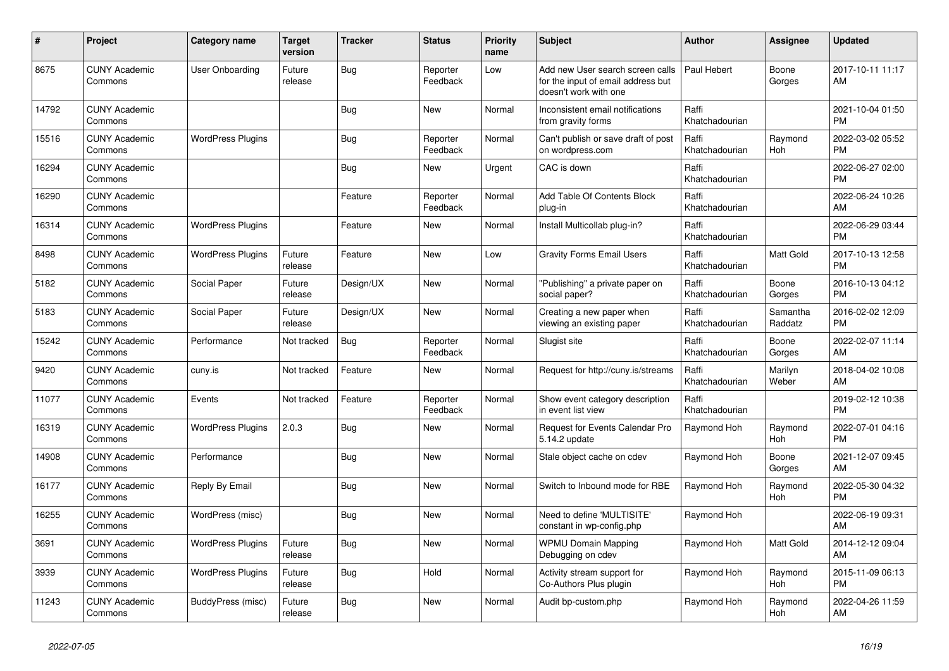| #     | Project                         | <b>Category name</b>     | <b>Target</b><br>version | <b>Tracker</b> | <b>Status</b>        | <b>Priority</b><br>name | <b>Subject</b>                                                                                  | <b>Author</b>           | <b>Assignee</b>     | <b>Updated</b>                |
|-------|---------------------------------|--------------------------|--------------------------|----------------|----------------------|-------------------------|-------------------------------------------------------------------------------------------------|-------------------------|---------------------|-------------------------------|
| 8675  | <b>CUNY Academic</b><br>Commons | <b>User Onboarding</b>   | Future<br>release        | Bug            | Reporter<br>Feedback | Low                     | Add new User search screen calls<br>for the input of email address but<br>doesn't work with one | Paul Hebert             | Boone<br>Gorges     | 2017-10-11 11:17<br>AM        |
| 14792 | <b>CUNY Academic</b><br>Commons |                          |                          | Bug            | <b>New</b>           | Normal                  | Inconsistent email notifications<br>from gravity forms                                          | Raffi<br>Khatchadourian |                     | 2021-10-04 01:50<br><b>PM</b> |
| 15516 | <b>CUNY Academic</b><br>Commons | <b>WordPress Plugins</b> |                          | Bug            | Reporter<br>Feedback | Normal                  | Can't publish or save draft of post<br>on wordpress.com                                         | Raffi<br>Khatchadourian | Raymond<br>Hoh      | 2022-03-02 05:52<br><b>PM</b> |
| 16294 | <b>CUNY Academic</b><br>Commons |                          |                          | Bug            | New                  | Urgent                  | CAC is down                                                                                     | Raffi<br>Khatchadourian |                     | 2022-06-27 02:00<br><b>PM</b> |
| 16290 | <b>CUNY Academic</b><br>Commons |                          |                          | Feature        | Reporter<br>Feedback | Normal                  | Add Table Of Contents Block<br>plug-in                                                          | Raffi<br>Khatchadourian |                     | 2022-06-24 10:26<br>AM        |
| 16314 | <b>CUNY Academic</b><br>Commons | <b>WordPress Plugins</b> |                          | Feature        | <b>New</b>           | Normal                  | Install Multicollab plug-in?                                                                    | Raffi<br>Khatchadourian |                     | 2022-06-29 03:44<br><b>PM</b> |
| 8498  | <b>CUNY Academic</b><br>Commons | <b>WordPress Plugins</b> | Future<br>release        | Feature        | <b>New</b>           | Low                     | <b>Gravity Forms Email Users</b>                                                                | Raffi<br>Khatchadourian | Matt Gold           | 2017-10-13 12:58<br><b>PM</b> |
| 5182  | <b>CUNY Academic</b><br>Commons | Social Paper             | Future<br>release        | Design/UX      | <b>New</b>           | Normal                  | "Publishing" a private paper on<br>social paper?                                                | Raffi<br>Khatchadourian | Boone<br>Gorges     | 2016-10-13 04:12<br><b>PM</b> |
| 5183  | <b>CUNY Academic</b><br>Commons | Social Paper             | Future<br>release        | Design/UX      | <b>New</b>           | Normal                  | Creating a new paper when<br>viewing an existing paper                                          | Raffi<br>Khatchadourian | Samantha<br>Raddatz | 2016-02-02 12:09<br><b>PM</b> |
| 15242 | <b>CUNY Academic</b><br>Commons | Performance              | Not tracked              | <b>Bug</b>     | Reporter<br>Feedback | Normal                  | Slugist site                                                                                    | Raffi<br>Khatchadourian | Boone<br>Gorges     | 2022-02-07 11:14<br>AM        |
| 9420  | <b>CUNY Academic</b><br>Commons | cuny.is                  | Not tracked              | Feature        | New                  | Normal                  | Request for http://cuny.is/streams                                                              | Raffi<br>Khatchadourian | Marilyn<br>Weber    | 2018-04-02 10:08<br>AM        |
| 11077 | <b>CUNY Academic</b><br>Commons | Events                   | Not tracked              | Feature        | Reporter<br>Feedback | Normal                  | Show event category description<br>in event list view                                           | Raffi<br>Khatchadourian |                     | 2019-02-12 10:38<br><b>PM</b> |
| 16319 | <b>CUNY Academic</b><br>Commons | <b>WordPress Plugins</b> | 2.0.3                    | <b>Bug</b>     | <b>New</b>           | Normal                  | Request for Events Calendar Pro<br>5.14.2 update                                                | Raymond Hoh             | Raymond<br>Hoh      | 2022-07-01 04:16<br><b>PM</b> |
| 14908 | <b>CUNY Academic</b><br>Commons | Performance              |                          | Bug            | New                  | Normal                  | Stale object cache on cdev                                                                      | Raymond Hoh             | Boone<br>Gorges     | 2021-12-07 09:45<br>AM        |
| 16177 | <b>CUNY Academic</b><br>Commons | Reply By Email           |                          | Bug            | New                  | Normal                  | Switch to Inbound mode for RBE                                                                  | Raymond Hoh             | Raymond<br>Hoh      | 2022-05-30 04:32<br><b>PM</b> |
| 16255 | <b>CUNY Academic</b><br>Commons | WordPress (misc)         |                          | <b>Bug</b>     | <b>New</b>           | Normal                  | Need to define 'MULTISITE'<br>constant in wp-config.php                                         | Raymond Hoh             |                     | 2022-06-19 09:31<br>AM        |
| 3691  | <b>CUNY Academic</b><br>Commons | <b>WordPress Plugins</b> | Future<br>release        | Bug            | <b>New</b>           | Normal                  | <b>WPMU Domain Mapping</b><br>Debugging on cdev                                                 | Raymond Hoh             | Matt Gold           | 2014-12-12 09:04<br>AM        |
| 3939  | <b>CUNY Academic</b><br>Commons | <b>WordPress Plugins</b> | Future<br>release        | Bug            | Hold                 | Normal                  | Activity stream support for<br>Co-Authors Plus plugin                                           | Raymond Hoh             | Raymond<br>Hoh      | 2015-11-09 06:13<br><b>PM</b> |
| 11243 | <b>CUNY Academic</b><br>Commons | BuddyPress (misc)        | Future<br>release        | <b>Bug</b>     | <b>New</b>           | Normal                  | Audit bp-custom.php                                                                             | Raymond Hoh             | Raymond<br>Hoh      | 2022-04-26 11:59<br>AM        |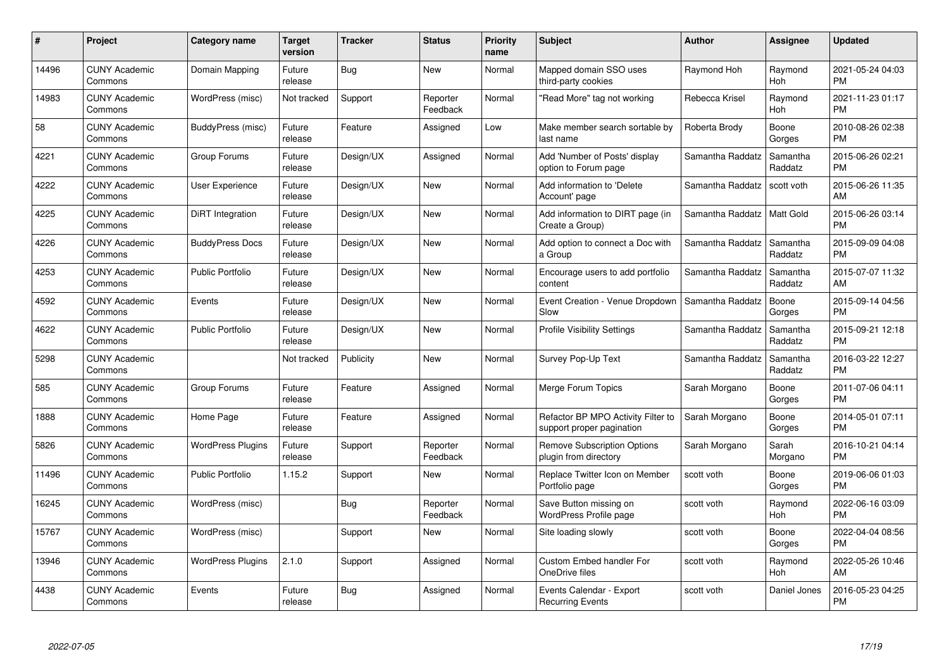| #     | Project                         | <b>Category name</b>     | Target<br>version | <b>Tracker</b> | <b>Status</b>        | <b>Priority</b><br>name | <b>Subject</b>                                                  | <b>Author</b>    | Assignee            | <b>Updated</b>                |
|-------|---------------------------------|--------------------------|-------------------|----------------|----------------------|-------------------------|-----------------------------------------------------------------|------------------|---------------------|-------------------------------|
| 14496 | <b>CUNY Academic</b><br>Commons | Domain Mapping           | Future<br>release | Bug            | <b>New</b>           | Normal                  | Mapped domain SSO uses<br>third-party cookies                   | Raymond Hoh      | Raymond<br>Hoh      | 2021-05-24 04:03<br><b>PM</b> |
| 14983 | <b>CUNY Academic</b><br>Commons | WordPress (misc)         | Not tracked       | Support        | Reporter<br>Feedback | Normal                  | "Read More" tag not working                                     | Rebecca Krisel   | Raymond<br>Hoh      | 2021-11-23 01:17<br><b>PM</b> |
| 58    | <b>CUNY Academic</b><br>Commons | BuddyPress (misc)        | Future<br>release | Feature        | Assigned             | Low                     | Make member search sortable by<br>last name                     | Roberta Brody    | Boone<br>Gorges     | 2010-08-26 02:38<br><b>PM</b> |
| 4221  | <b>CUNY Academic</b><br>Commons | Group Forums             | Future<br>release | Design/UX      | Assigned             | Normal                  | Add 'Number of Posts' display<br>option to Forum page           | Samantha Raddatz | Samantha<br>Raddatz | 2015-06-26 02:21<br><b>PM</b> |
| 4222  | <b>CUNY Academic</b><br>Commons | User Experience          | Future<br>release | Design/UX      | <b>New</b>           | Normal                  | Add information to 'Delete<br>Account' page                     | Samantha Raddatz | scott voth          | 2015-06-26 11:35<br>AM        |
| 4225  | <b>CUNY Academic</b><br>Commons | <b>DiRT</b> Integration  | Future<br>release | Design/UX      | <b>New</b>           | Normal                  | Add information to DIRT page (in<br>Create a Group)             | Samantha Raddatz | Matt Gold           | 2015-06-26 03:14<br><b>PM</b> |
| 4226  | <b>CUNY Academic</b><br>Commons | <b>BuddyPress Docs</b>   | Future<br>release | Design/UX      | New                  | Normal                  | Add option to connect a Doc with<br>a Group                     | Samantha Raddatz | Samantha<br>Raddatz | 2015-09-09 04:08<br><b>PM</b> |
| 4253  | <b>CUNY Academic</b><br>Commons | <b>Public Portfolio</b>  | Future<br>release | Design/UX      | <b>New</b>           | Normal                  | Encourage users to add portfolio<br>content                     | Samantha Raddatz | Samantha<br>Raddatz | 2015-07-07 11:32<br>AM        |
| 4592  | <b>CUNY Academic</b><br>Commons | Events                   | Future<br>release | Design/UX      | <b>New</b>           | Normal                  | Event Creation - Venue Dropdown<br>Slow                         | Samantha Raddatz | Boone<br>Gorges     | 2015-09-14 04:56<br><b>PM</b> |
| 4622  | <b>CUNY Academic</b><br>Commons | <b>Public Portfolio</b>  | Future<br>release | Design/UX      | New                  | Normal                  | <b>Profile Visibility Settings</b>                              | Samantha Raddatz | Samantha<br>Raddatz | 2015-09-21 12:18<br><b>PM</b> |
| 5298  | <b>CUNY Academic</b><br>Commons |                          | Not tracked       | Publicity      | New                  | Normal                  | Survey Pop-Up Text                                              | Samantha Raddatz | Samantha<br>Raddatz | 2016-03-22 12:27<br><b>PM</b> |
| 585   | <b>CUNY Academic</b><br>Commons | Group Forums             | Future<br>release | Feature        | Assigned             | Normal                  | Merge Forum Topics                                              | Sarah Morgano    | Boone<br>Gorges     | 2011-07-06 04:11<br><b>PM</b> |
| 1888  | <b>CUNY Academic</b><br>Commons | Home Page                | Future<br>release | Feature        | Assigned             | Normal                  | Refactor BP MPO Activity Filter to<br>support proper pagination | Sarah Morgano    | Boone<br>Gorges     | 2014-05-01 07:11<br><b>PM</b> |
| 5826  | <b>CUNY Academic</b><br>Commons | <b>WordPress Plugins</b> | Future<br>release | Support        | Reporter<br>Feedback | Normal                  | Remove Subscription Options<br>plugin from directory            | Sarah Morgano    | Sarah<br>Morgano    | 2016-10-21 04:14<br><b>PM</b> |
| 11496 | <b>CUNY Academic</b><br>Commons | <b>Public Portfolio</b>  | 1.15.2            | Support        | New                  | Normal                  | Replace Twitter Icon on Member<br>Portfolio page                | scott voth       | Boone<br>Gorges     | 2019-06-06 01:03<br><b>PM</b> |
| 16245 | <b>CUNY Academic</b><br>Commons | WordPress (misc)         |                   | Bug            | Reporter<br>Feedback | Normal                  | Save Button missing on<br>WordPress Profile page                | scott voth       | Raymond<br>Hoh      | 2022-06-16 03:09<br><b>PM</b> |
| 15767 | <b>CUNY Academic</b><br>Commons | WordPress (misc)         |                   | Support        | New                  | Normal                  | Site loading slowly                                             | scott voth       | Boone<br>Gorges     | 2022-04-04 08:56<br><b>PM</b> |
| 13946 | <b>CUNY Academic</b><br>Commons | <b>WordPress Plugins</b> | 2.1.0             | Support        | Assigned             | Normal                  | <b>Custom Embed handler For</b><br>OneDrive files               | scott voth       | Raymond<br>Hoh      | 2022-05-26 10:46<br>AM        |
| 4438  | <b>CUNY Academic</b><br>Commons | Events                   | Future<br>release | Bug            | Assigned             | Normal                  | Events Calendar - Export<br><b>Recurring Events</b>             | scott voth       | Daniel Jones        | 2016-05-23 04:25<br><b>PM</b> |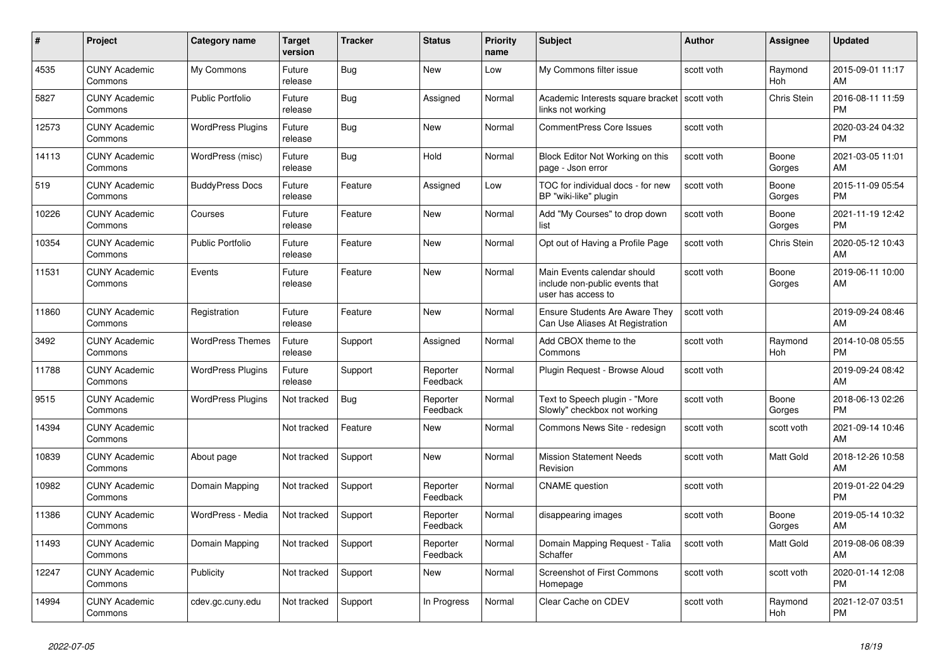| #     | <b>Project</b>                  | Category name            | Target<br>version | <b>Tracker</b> | <b>Status</b>        | <b>Priority</b><br>name | <b>Subject</b>                                                                      | <b>Author</b> | Assignee        | <b>Updated</b>                |
|-------|---------------------------------|--------------------------|-------------------|----------------|----------------------|-------------------------|-------------------------------------------------------------------------------------|---------------|-----------------|-------------------------------|
| 4535  | <b>CUNY Academic</b><br>Commons | My Commons               | Future<br>release | Bug            | New                  | Low                     | My Commons filter issue                                                             | scott voth    | Raymond<br>Hoh  | 2015-09-01 11:17<br>AM        |
| 5827  | <b>CUNY Academic</b><br>Commons | <b>Public Portfolio</b>  | Future<br>release | <b>Bug</b>     | Assigned             | Normal                  | Academic Interests square bracket<br>links not working                              | scott voth    | Chris Stein     | 2016-08-11 11:59<br><b>PM</b> |
| 12573 | <b>CUNY Academic</b><br>Commons | <b>WordPress Plugins</b> | Future<br>release | <b>Bug</b>     | New                  | Normal                  | <b>CommentPress Core Issues</b>                                                     | scott voth    |                 | 2020-03-24 04:32<br><b>PM</b> |
| 14113 | <b>CUNY Academic</b><br>Commons | WordPress (misc)         | Future<br>release | Bug            | Hold                 | Normal                  | Block Editor Not Working on this<br>page - Json error                               | scott voth    | Boone<br>Gorges | 2021-03-05 11:01<br><b>AM</b> |
| 519   | <b>CUNY Academic</b><br>Commons | <b>BuddyPress Docs</b>   | Future<br>release | Feature        | Assigned             | Low                     | TOC for individual docs - for new<br>BP "wiki-like" plugin                          | scott voth    | Boone<br>Gorges | 2015-11-09 05:54<br>PM.       |
| 10226 | <b>CUNY Academic</b><br>Commons | Courses                  | Future<br>release | Feature        | New                  | Normal                  | Add "My Courses" to drop down<br>list                                               | scott voth    | Boone<br>Gorges | 2021-11-19 12:42<br><b>PM</b> |
| 10354 | <b>CUNY Academic</b><br>Commons | <b>Public Portfolio</b>  | Future<br>release | Feature        | New                  | Normal                  | Opt out of Having a Profile Page                                                    | scott voth    | Chris Stein     | 2020-05-12 10:43<br>AM        |
| 11531 | <b>CUNY Academic</b><br>Commons | Events                   | Future<br>release | Feature        | <b>New</b>           | Normal                  | Main Events calendar should<br>include non-public events that<br>user has access to | scott voth    | Boone<br>Gorges | 2019-06-11 10:00<br>AM        |
| 11860 | <b>CUNY Academic</b><br>Commons | Registration             | Future<br>release | Feature        | New                  | Normal                  | <b>Ensure Students Are Aware They</b><br>Can Use Aliases At Registration            | scott voth    |                 | 2019-09-24 08:46<br><b>AM</b> |
| 3492  | <b>CUNY Academic</b><br>Commons | <b>WordPress Themes</b>  | Future<br>release | Support        | Assigned             | Normal                  | Add CBOX theme to the<br>Commons                                                    | scott voth    | Raymond<br>Hoh  | 2014-10-08 05:55<br><b>PM</b> |
| 11788 | <b>CUNY Academic</b><br>Commons | <b>WordPress Plugins</b> | Future<br>release | Support        | Reporter<br>Feedback | Normal                  | Plugin Request - Browse Aloud                                                       | scott voth    |                 | 2019-09-24 08:42<br>AM        |
| 9515  | <b>CUNY Academic</b><br>Commons | <b>WordPress Plugins</b> | Not tracked       | Bug            | Reporter<br>Feedback | Normal                  | Text to Speech plugin - "More<br>Slowly" checkbox not working                       | scott voth    | Boone<br>Gorges | 2018-06-13 02:26<br><b>PM</b> |
| 14394 | <b>CUNY Academic</b><br>Commons |                          | Not tracked       | Feature        | <b>New</b>           | Normal                  | Commons News Site - redesign                                                        | scott voth    | scott voth      | 2021-09-14 10:46<br>AM        |
| 10839 | <b>CUNY Academic</b><br>Commons | About page               | Not tracked       | Support        | New                  | Normal                  | <b>Mission Statement Needs</b><br>Revision                                          | scott voth    | Matt Gold       | 2018-12-26 10:58<br>AM        |
| 10982 | <b>CUNY Academic</b><br>Commons | Domain Mapping           | Not tracked       | Support        | Reporter<br>Feedback | Normal                  | <b>CNAME</b> question                                                               | scott voth    |                 | 2019-01-22 04:29<br><b>PM</b> |
| 11386 | <b>CUNY Academic</b><br>Commons | WordPress - Media        | Not tracked       | Support        | Reporter<br>Feedback | Normal                  | disappearing images                                                                 | scott voth    | Boone<br>Gorges | 2019-05-14 10:32<br>AM        |
| 11493 | <b>CUNY Academic</b><br>Commons | Domain Mapping           | Not tracked       | Support        | Reporter<br>Feedback | Normal                  | Domain Mapping Request - Talia<br>Schaffer                                          | scott voth    | Matt Gold       | 2019-08-06 08:39<br>AM        |
| 12247 | <b>CUNY Academic</b><br>Commons | Publicity                | Not tracked       | Support        | New                  | Normal                  | <b>Screenshot of First Commons</b><br>Homepage                                      | scott voth    | scott voth      | 2020-01-14 12:08<br><b>PM</b> |
| 14994 | <b>CUNY Academic</b><br>Commons | cdev.gc.cuny.edu         | Not tracked       | Support        | In Progress          | Normal                  | Clear Cache on CDEV                                                                 | scott voth    | Raymond<br>Hoh  | 2021-12-07 03:51<br><b>PM</b> |